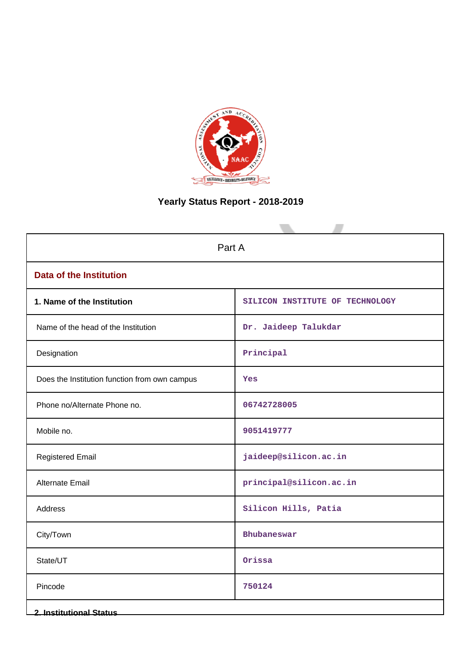

# **Yearly Status Report - 2018-2019**

| Part A                                        |                                 |  |  |  |  |
|-----------------------------------------------|---------------------------------|--|--|--|--|
| <b>Data of the Institution</b>                |                                 |  |  |  |  |
| 1. Name of the Institution                    | SILICON INSTITUTE OF TECHNOLOGY |  |  |  |  |
| Name of the head of the Institution           | Dr. Jaideep Talukdar            |  |  |  |  |
| Designation                                   | Principal                       |  |  |  |  |
| Does the Institution function from own campus | Yes                             |  |  |  |  |
| Phone no/Alternate Phone no.                  | 06742728005                     |  |  |  |  |
| Mobile no.                                    | 9051419777                      |  |  |  |  |
| <b>Registered Email</b>                       | jaideep@silicon.ac.in           |  |  |  |  |
| Alternate Email                               | principal@silicon.ac.in         |  |  |  |  |
| Address                                       | Silicon Hills, Patia            |  |  |  |  |
| City/Town                                     | Bhubaneswar                     |  |  |  |  |
| State/UT                                      | Orissa                          |  |  |  |  |
| Pincode                                       | 750124                          |  |  |  |  |
| <b>2. Institutional Status</b>                |                                 |  |  |  |  |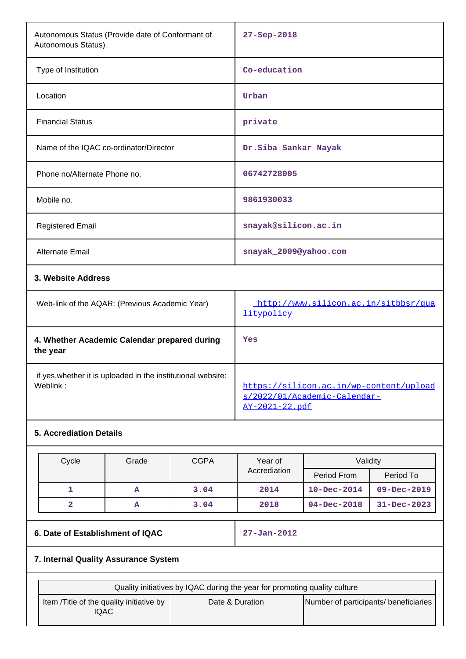| Autonomous Status (Provide date of Conformant of<br>Autonomous Status) | 27-Sep-2018                                        |
|------------------------------------------------------------------------|----------------------------------------------------|
| Type of Institution                                                    | Co-education                                       |
| Location                                                               | Urban                                              |
| <b>Financial Status</b>                                                | private                                            |
| Name of the IQAC co-ordinator/Director                                 | Dr.Siba Sankar Nayak                               |
| Phone no/Alternate Phone no.                                           | 06742728005                                        |
| Mobile no.                                                             | 9861930033                                         |
| <b>Registered Email</b>                                                | snayak@silicon.ac.in                               |
| Alternate Email                                                        | snayak_2009@yahoo.com                              |
| 3. Website Address                                                     |                                                    |
| Web-link of the AQAR: (Previous Academic Year)                         | http://www.silicon.ac.in/sitbbsr/qua<br>litypolicy |
| 4. Whether Academic Calendar prepared during<br>the year               | Yes                                                |

 if yes,whether it is uploaded in the institutional website: Weblink: which is a metal of the set of the set of the set of the set of the set of the set of the set of the set of the set of the set of the set of the set of the set of the set of the set of the set of the set of the se

# **5. Accrediation Details**

| Cycle | Grade | <b>CGPA</b> | Year of      | Validity          |                   |
|-------|-------|-------------|--------------|-------------------|-------------------|
|       |       |             | Accrediation | Period From       | Period To         |
|       | A     | 3.04        | 2014         | $10 - Dec - 2014$ | $09 - Dec - 2019$ |
|       | A     | 3.04        | 2018         | $04 - Dec - 2018$ | $31 - Dec - 2023$ |

# **6. Date of Establishment of IQAC 27-Jan-2012**

[AY-2021-22.pdf](https://silicon.ac.in/wp-content/uploads/2022/01/Academic-Calendar-AY-2021-22.pdf)

[s/2022/01/Academic-Calendar-](https://silicon.ac.in/wp-content/uploads/2022/01/Academic-Calendar-AY-2021-22.pdf)

# **7. Internal Quality Assurance System**

| Quality initiatives by IQAC during the year for promoting quality culture |                 |                                       |  |  |  |  |  |  |
|---------------------------------------------------------------------------|-----------------|---------------------------------------|--|--|--|--|--|--|
| Item / Title of the quality initiative by<br>IQAC                         | Date & Duration | Number of participants/ beneficiaries |  |  |  |  |  |  |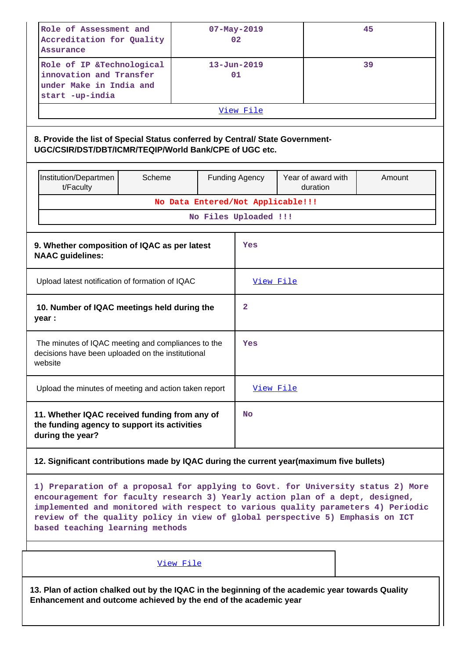| Role of Assessment and<br>$07 - May - 2019$<br>Accreditation for Quality<br>02<br>Assurance                                                                                                                                                                                                                                                                               |                                                                                                                                                                      |  |                                   |                                          |     | 45 |  |  |  |
|---------------------------------------------------------------------------------------------------------------------------------------------------------------------------------------------------------------------------------------------------------------------------------------------------------------------------------------------------------------------------|----------------------------------------------------------------------------------------------------------------------------------------------------------------------|--|-----------------------------------|------------------------------------------|-----|----|--|--|--|
| Role of IP &Technological<br>innovation and Transfer<br>under Make in India and<br>start -up-india                                                                                                                                                                                                                                                                        |                                                                                                                                                                      |  | $13 - Jun - 2019$<br>01           |                                          |     | 39 |  |  |  |
|                                                                                                                                                                                                                                                                                                                                                                           |                                                                                                                                                                      |  | View File                         |                                          |     |    |  |  |  |
| 8. Provide the list of Special Status conferred by Central/ State Government-<br>UGC/CSIR/DST/DBT/ICMR/TEQIP/World Bank/CPE of UGC etc.                                                                                                                                                                                                                                   |                                                                                                                                                                      |  |                                   |                                          |     |    |  |  |  |
| Institution/Departmen<br>Scheme<br>t/Faculty                                                                                                                                                                                                                                                                                                                              |                                                                                                                                                                      |  | <b>Funding Agency</b>             | Year of award with<br>Amount<br>duration |     |    |  |  |  |
|                                                                                                                                                                                                                                                                                                                                                                           |                                                                                                                                                                      |  | No Data Entered/Not Applicable!!! |                                          |     |    |  |  |  |
|                                                                                                                                                                                                                                                                                                                                                                           |                                                                                                                                                                      |  | No Files Uploaded !!!             |                                          |     |    |  |  |  |
| <b>NAAC guidelines:</b>                                                                                                                                                                                                                                                                                                                                                   | 9. Whether composition of IQAC as per latest                                                                                                                         |  |                                   |                                          | Yes |    |  |  |  |
| Upload latest notification of formation of IQAC                                                                                                                                                                                                                                                                                                                           |                                                                                                                                                                      |  | View File                         |                                          |     |    |  |  |  |
| year :                                                                                                                                                                                                                                                                                                                                                                    | 10. Number of IQAC meetings held during the                                                                                                                          |  |                                   | $\mathbf{2}$                             |     |    |  |  |  |
| The minutes of IQAC meeting and compliances to the<br>decisions have been uploaded on the institutional<br>website                                                                                                                                                                                                                                                        |                                                                                                                                                                      |  | Yes                               |                                          |     |    |  |  |  |
| Upload the minutes of meeting and action taken report                                                                                                                                                                                                                                                                                                                     |                                                                                                                                                                      |  | View File                         |                                          |     |    |  |  |  |
| 11. Whether IQAC received funding from any of<br>the funding agency to support its activities<br>during the year?                                                                                                                                                                                                                                                         |                                                                                                                                                                      |  | <b>No</b>                         |                                          |     |    |  |  |  |
| 12. Significant contributions made by IQAC during the current year(maximum five bullets)                                                                                                                                                                                                                                                                                  |                                                                                                                                                                      |  |                                   |                                          |     |    |  |  |  |
| 1) Preparation of a proposal for applying to Govt. for University status 2) More<br>encouragement for faculty research 3) Yearly action plan of a dept, designed,<br>implemented and monitored with respect to various quality parameters 4) Periodic<br>review of the quality policy in view of global perspective 5) Emphasis on ICT<br>based teaching learning methods |                                                                                                                                                                      |  |                                   |                                          |     |    |  |  |  |
|                                                                                                                                                                                                                                                                                                                                                                           | View File                                                                                                                                                            |  |                                   |                                          |     |    |  |  |  |
|                                                                                                                                                                                                                                                                                                                                                                           | 13. Plan of action chalked out by the IQAC in the beginning of the academic year towards Quality<br>Enhancement and outcome achieved by the end of the academic year |  |                                   |                                          |     |    |  |  |  |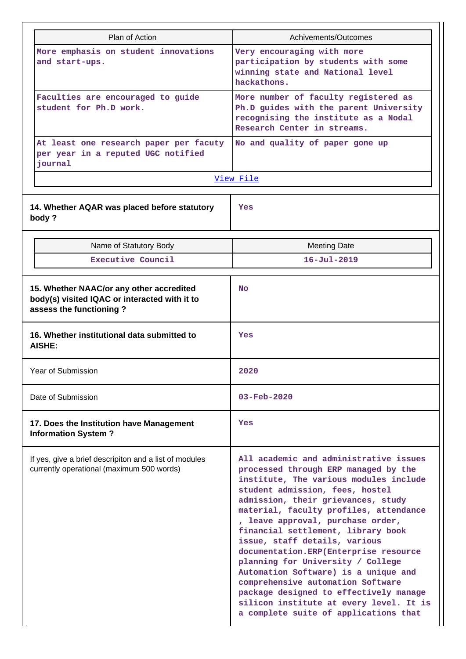| Plan of Action                                                                                                       | Achivements/Outcomes                                                                                                                                                                                                                                                                                                                                                                                                                                                                                                                                                                                                                             |  |  |  |  |
|----------------------------------------------------------------------------------------------------------------------|--------------------------------------------------------------------------------------------------------------------------------------------------------------------------------------------------------------------------------------------------------------------------------------------------------------------------------------------------------------------------------------------------------------------------------------------------------------------------------------------------------------------------------------------------------------------------------------------------------------------------------------------------|--|--|--|--|
| More emphasis on student innovations<br>and start-ups.                                                               | Very encouraging with more<br>participation by students with some<br>winning state and National level<br>hackathons.                                                                                                                                                                                                                                                                                                                                                                                                                                                                                                                             |  |  |  |  |
| Faculties are encouraged to guide<br>student for Ph.D work.                                                          | More number of faculty registered as<br>Ph.D guides with the parent University<br>recognising the institute as a Nodal<br>Research Center in streams.                                                                                                                                                                                                                                                                                                                                                                                                                                                                                            |  |  |  |  |
| At least one research paper per facuty<br>per year in a reputed UGC notified<br>journal                              | No and quality of paper gone up                                                                                                                                                                                                                                                                                                                                                                                                                                                                                                                                                                                                                  |  |  |  |  |
|                                                                                                                      | View File                                                                                                                                                                                                                                                                                                                                                                                                                                                                                                                                                                                                                                        |  |  |  |  |
| 14. Whether AQAR was placed before statutory<br>body?                                                                | Yes                                                                                                                                                                                                                                                                                                                                                                                                                                                                                                                                                                                                                                              |  |  |  |  |
| Name of Statutory Body                                                                                               | <b>Meeting Date</b>                                                                                                                                                                                                                                                                                                                                                                                                                                                                                                                                                                                                                              |  |  |  |  |
| Executive Council                                                                                                    | $16 - Ju1 - 2019$                                                                                                                                                                                                                                                                                                                                                                                                                                                                                                                                                                                                                                |  |  |  |  |
| 15. Whether NAAC/or any other accredited<br>body(s) visited IQAC or interacted with it to<br>assess the functioning? | <b>No</b>                                                                                                                                                                                                                                                                                                                                                                                                                                                                                                                                                                                                                                        |  |  |  |  |
| 16. Whether institutional data submitted to<br>AISHE:                                                                | Yes                                                                                                                                                                                                                                                                                                                                                                                                                                                                                                                                                                                                                                              |  |  |  |  |
| Year of Submission                                                                                                   | 2020                                                                                                                                                                                                                                                                                                                                                                                                                                                                                                                                                                                                                                             |  |  |  |  |
| Date of Submission                                                                                                   | $03 - \text{Feb} - 2020$                                                                                                                                                                                                                                                                                                                                                                                                                                                                                                                                                                                                                         |  |  |  |  |
| 17. Does the Institution have Management<br><b>Information System?</b>                                               | Yes                                                                                                                                                                                                                                                                                                                                                                                                                                                                                                                                                                                                                                              |  |  |  |  |
| If yes, give a brief descripiton and a list of modules<br>currently operational (maximum 500 words)                  | All academic and administrative issues<br>processed through ERP managed by the<br>institute, The various modules include<br>student admission, fees, hostel<br>admission, their grievances, study<br>material, faculty profiles, attendance<br>, leave approval, purchase order,<br>financial settlement, library book<br>issue, staff details, various<br>documentation.ERP(Enterprise resource<br>planning for University / College<br>Automation Software) is a unique and<br>comprehensive automation Software<br>package designed to effectively manage<br>silicon institute at every level. It is<br>a complete suite of applications that |  |  |  |  |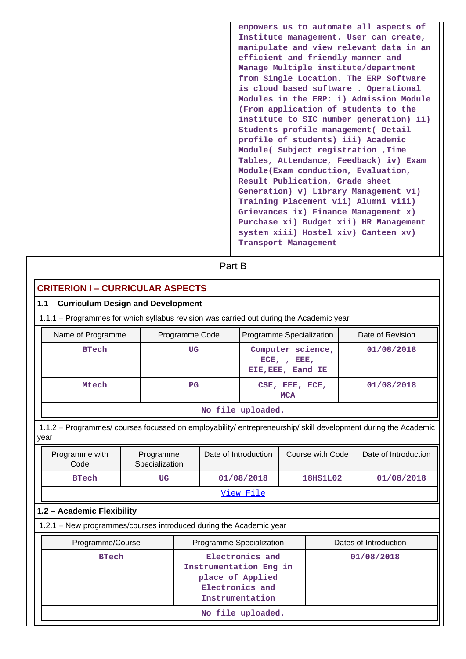**empowers us to automate all aspects of Institute management. User can create, manipulate and view relevant data in an efficient and friendly manner and Manage Multiple institute/department from Single Location. The ERP Software is cloud based software . Operational Modules in the ERP: i) Admission Module (From application of students to the institute to SIC number generation) ii) Students profile management( Detail profile of students) iii) Academic Module( Subject registration ,Time Tables, Attendance, Feedback) iv) Exam Module(Exam conduction, Evaluation, Result Publication, Grade sheet Generation) v) Library Management vi) Training Placement vii) Alumni viii) Grievances ix) Finance Management x) Purchase xi) Budget xii) HR Management system xiii) Hostel xiv) Canteen xv) Transport Management**

# **Part B**

| <b>CRITERION I - CURRICULAR ASPECTS</b>                                                 |                                                                                                     |                |                                                 |                                                                                                                                          |                                                                                                                                                                                                                                                                    |  |  |  |
|-----------------------------------------------------------------------------------------|-----------------------------------------------------------------------------------------------------|----------------|-------------------------------------------------|------------------------------------------------------------------------------------------------------------------------------------------|--------------------------------------------------------------------------------------------------------------------------------------------------------------------------------------------------------------------------------------------------------------------|--|--|--|
| 1.1 - Curriculum Design and Development                                                 |                                                                                                     |                |                                                 |                                                                                                                                          |                                                                                                                                                                                                                                                                    |  |  |  |
| 1.1.1 - Programmes for which syllabus revision was carried out during the Academic year |                                                                                                     |                |                                                 |                                                                                                                                          |                                                                                                                                                                                                                                                                    |  |  |  |
|                                                                                         |                                                                                                     |                |                                                 |                                                                                                                                          | Date of Revision                                                                                                                                                                                                                                                   |  |  |  |
| UG                                                                                      |                                                                                                     |                |                                                 |                                                                                                                                          | 01/08/2018                                                                                                                                                                                                                                                         |  |  |  |
| <b>Mtech</b><br>PG<br><b>MCA</b>                                                        |                                                                                                     |                |                                                 |                                                                                                                                          | 01/08/2018                                                                                                                                                                                                                                                         |  |  |  |
|                                                                                         |                                                                                                     |                |                                                 |                                                                                                                                          |                                                                                                                                                                                                                                                                    |  |  |  |
|                                                                                         |                                                                                                     |                |                                                 |                                                                                                                                          |                                                                                                                                                                                                                                                                    |  |  |  |
| Programme<br>Specialization                                                             |                                                                                                     |                |                                                 |                                                                                                                                          | Date of Introduction                                                                                                                                                                                                                                               |  |  |  |
| UG                                                                                      |                                                                                                     |                |                                                 |                                                                                                                                          | 01/08/2018                                                                                                                                                                                                                                                         |  |  |  |
|                                                                                         |                                                                                                     |                |                                                 |                                                                                                                                          |                                                                                                                                                                                                                                                                    |  |  |  |
|                                                                                         |                                                                                                     |                |                                                 |                                                                                                                                          |                                                                                                                                                                                                                                                                    |  |  |  |
|                                                                                         |                                                                                                     |                |                                                 |                                                                                                                                          |                                                                                                                                                                                                                                                                    |  |  |  |
|                                                                                         |                                                                                                     |                |                                                 |                                                                                                                                          | Dates of Introduction                                                                                                                                                                                                                                              |  |  |  |
|                                                                                         | Electronics and<br>Instrumentation Eng in<br>place of Applied<br>Electronics and<br>Instrumentation |                |                                                 |                                                                                                                                          | 01/08/2018                                                                                                                                                                                                                                                         |  |  |  |
|                                                                                         |                                                                                                     | Programme Code | Date of Introduction<br>01/08/2018<br>View File | No file uploaded.<br>1.2.1 - New programmes/courses introduced during the Academic year<br>Programme Specialization<br>No file uploaded. | Programme Specialization<br>Computer science,<br>$ECE$ , , $EEE$ ,<br>EIE, EEE, Eand IE<br>CSE, EEE, ECE,<br>1.1.2 - Programmes/ courses focussed on employability/ entrepreneurship/ skill development during the Academic<br>Course with Code<br><b>18HS1L02</b> |  |  |  |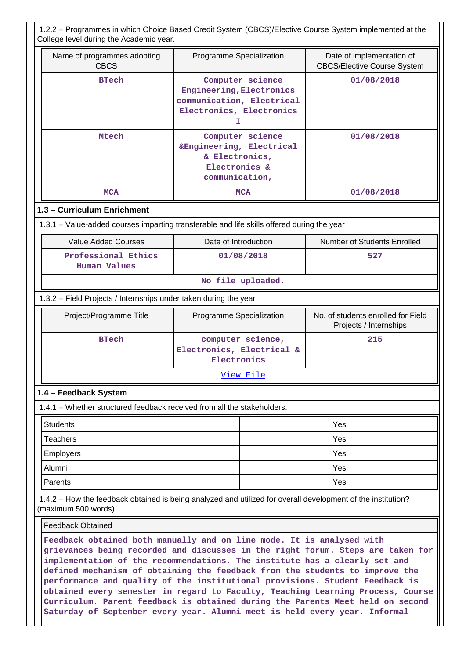1.2.2 – Programmes in which Choice Based Credit System (CBCS)/Elective Course System implemented at the College level during the Academic year.

| $5.15$ $9.01$ $1.01$ $1.01$ $1.00$ $1.00$ $1.00$                                                                                                                                                                                                                                                                       |                                                                                                             |                                                                 |  |  |  |  |  |
|------------------------------------------------------------------------------------------------------------------------------------------------------------------------------------------------------------------------------------------------------------------------------------------------------------------------|-------------------------------------------------------------------------------------------------------------|-----------------------------------------------------------------|--|--|--|--|--|
| Name of programmes adopting<br><b>CBCS</b>                                                                                                                                                                                                                                                                             | Programme Specialization                                                                                    | Date of implementation of<br><b>CBCS/Elective Course System</b> |  |  |  |  |  |
| <b>BTech</b>                                                                                                                                                                                                                                                                                                           | Computer science<br>Engineering, Electronics<br>communication, Electrical<br>Electronics, Electronics<br>Ι. | 01/08/2018                                                      |  |  |  |  |  |
| Mtech                                                                                                                                                                                                                                                                                                                  | Computer science<br>&Engineering, Electrical<br>& Electronics,<br>Electronics &<br>communication,           | 01/08/2018                                                      |  |  |  |  |  |
| <b>MCA</b>                                                                                                                                                                                                                                                                                                             | <b>MCA</b>                                                                                                  | 01/08/2018                                                      |  |  |  |  |  |
| 1.3 - Curriculum Enrichment                                                                                                                                                                                                                                                                                            |                                                                                                             |                                                                 |  |  |  |  |  |
| 1.3.1 – Value-added courses imparting transferable and life skills offered during the year                                                                                                                                                                                                                             |                                                                                                             |                                                                 |  |  |  |  |  |
| <b>Value Added Courses</b>                                                                                                                                                                                                                                                                                             | Date of Introduction                                                                                        | Number of Students Enrolled                                     |  |  |  |  |  |
| Professional Ethics<br><b>Human Values</b>                                                                                                                                                                                                                                                                             | 01/08/2018                                                                                                  | 527                                                             |  |  |  |  |  |
| No file uploaded.                                                                                                                                                                                                                                                                                                      |                                                                                                             |                                                                 |  |  |  |  |  |
| 1.3.2 - Field Projects / Internships under taken during the year                                                                                                                                                                                                                                                       |                                                                                                             |                                                                 |  |  |  |  |  |
| Project/Programme Title                                                                                                                                                                                                                                                                                                | Programme Specialization                                                                                    | No. of students enrolled for Field<br>Projects / Internships    |  |  |  |  |  |
| <b>BTech</b>                                                                                                                                                                                                                                                                                                           | computer science,<br>Electronics, Electrical &<br>Electronics                                               | 215                                                             |  |  |  |  |  |
|                                                                                                                                                                                                                                                                                                                        | View File                                                                                                   |                                                                 |  |  |  |  |  |
| 1.4 - Feedback System                                                                                                                                                                                                                                                                                                  |                                                                                                             |                                                                 |  |  |  |  |  |
| 1.4.1 - Whether structured feedback received from all the stakeholders.                                                                                                                                                                                                                                                |                                                                                                             |                                                                 |  |  |  |  |  |
| <b>Students</b>                                                                                                                                                                                                                                                                                                        |                                                                                                             | Yes                                                             |  |  |  |  |  |
| <b>Teachers</b>                                                                                                                                                                                                                                                                                                        |                                                                                                             | Yes                                                             |  |  |  |  |  |
| <b>Employers</b>                                                                                                                                                                                                                                                                                                       |                                                                                                             | Yes                                                             |  |  |  |  |  |
| Alumni                                                                                                                                                                                                                                                                                                                 |                                                                                                             | Yes                                                             |  |  |  |  |  |
| Parents                                                                                                                                                                                                                                                                                                                |                                                                                                             | Yes                                                             |  |  |  |  |  |
| 1.4.2 – How the feedback obtained is being analyzed and utilized for overall development of the institution?<br>(maximum 500 words)                                                                                                                                                                                    |                                                                                                             |                                                                 |  |  |  |  |  |
| <b>Feedback Obtained</b>                                                                                                                                                                                                                                                                                               |                                                                                                             |                                                                 |  |  |  |  |  |
| Feedback obtained both manually and on line mode. It is analysed with<br>grievances being recorded and discusses in the right forum. Steps are taken for<br>implementation of the recommendations. The institute has a clearly set and<br>defined mechanism of obtaining the feedback from the students to improve the |                                                                                                             |                                                                 |  |  |  |  |  |

**performance and quality of the institutional provisions. Student Feedback is obtained every semester in regard to Faculty, Teaching Learning Process, Course Curriculum. Parent feedback is obtained during the Parents Meet held on second Saturday of September every year. Alumni meet is held every year. Informal**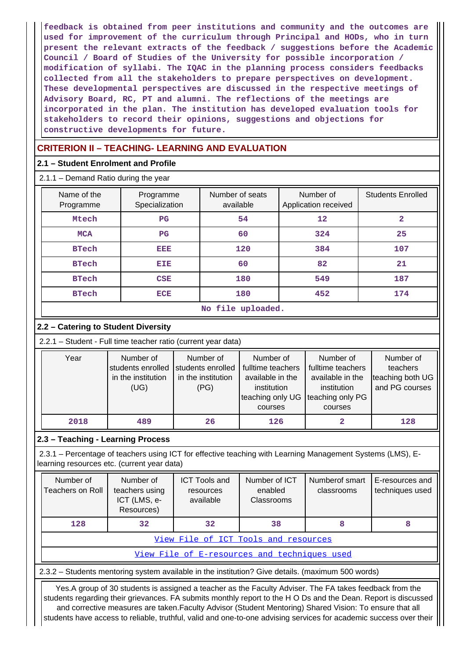**feedback is obtained from peer institutions and community and the outcomes are used for improvement of the curriculum through Principal and HODs, who in turn present the relevant extracts of the feedback / suggestions before the Academic Council / Board of Studies of the University for possible incorporation / modification of syllabi. The IQAC in the planning process considers feedbacks collected from all the stakeholders to prepare perspectives on development. These developmental perspectives are discussed in the respective meetings of Advisory Board, RC, PT and alumni. The reflections of the meetings are incorporated in the plan. The institution has developed evaluation tools for stakeholders to record their opinions, suggestions and objections for constructive developments for future.**

## **CRITERION II – TEACHING- LEARNING AND EVALUATION**

### **2.1 – Student Enrolment and Profile**

2.1.1 – Demand Ratio during the year

| Name of the<br>Programme | Programme<br>Specialization | Number of seats<br>available | Number of<br>Application received | <b>Students Enrolled</b> |
|--------------------------|-----------------------------|------------------------------|-----------------------------------|--------------------------|
| Mtech                    | $_{\rm PG}$                 | 54                           | 12                                | 2                        |
| <b>MCA</b>               | $_{\rm PG}$                 | 60                           | 324                               | 25                       |
| <b>BTech</b>             | EEE                         | 120                          | 384                               | 107                      |
| <b>BTech</b>             | EIE                         | 60                           | 82                                | 21                       |
| <b>BTech</b>             | <b>CSE</b>                  | 180                          | 549                               | 187                      |
| <b>BTech</b>             | <b>ECE</b>                  | 180                          | 452                               | 174                      |

|  | No file uploaded. |
|--|-------------------|
|  |                   |

## **2.2 – Catering to Student Diversity**

2.2.1 – Student - Full time teacher ratio (current year data)

| Year | Number of          | Number of          | Number of         | Number of         | Number of        |
|------|--------------------|--------------------|-------------------|-------------------|------------------|
|      | students enrolled  | students enrolled  | fulltime teachers | fulltime teachers | teachers         |
|      | in the institution | in the institution | available in the  | available in the  | teaching both UG |
|      | (UG)               | (PG)               | institution       | institution       | and PG courses   |
|      |                    |                    | teaching only UG  | teaching only PG  |                  |
|      |                    |                    | courses           | courses           |                  |
| 2018 | 489                | 26                 | 126               |                   | 128              |

### **2.3 – Teaching - Learning Process**

 2.3.1 – Percentage of teachers using ICT for effective teaching with Learning Management Systems (LMS), Elearning resources etc. (current year data)

| Number of<br>Teachers on Roll                | Number of<br>teachers using<br>ICT (LMS, e-<br>Resources) | <b>ICT Tools and</b><br>resources<br>available | Number of ICT<br>enabled<br>Classrooms | Numberof smart<br>classrooms | E-resources and<br>techniques used |  |  |  |
|----------------------------------------------|-----------------------------------------------------------|------------------------------------------------|----------------------------------------|------------------------------|------------------------------------|--|--|--|
| 128                                          | 32                                                        | 32 <sub>1</sub>                                | 38                                     |                              |                                    |  |  |  |
| View File of ICT Tools and resources         |                                                           |                                                |                                        |                              |                                    |  |  |  |
| View File of E-resources and techniques used |                                                           |                                                |                                        |                              |                                    |  |  |  |

2.3.2 – Students mentoring system available in the institution? Give details. (maximum 500 words)

 Yes.A group of 30 students is assigned a teacher as the Faculty Adviser. The FA takes feedback from the students regarding their grievances. FA submits monthly report to the H O Ds and the Dean. Report is discussed and corrective measures are taken.Faculty Advisor (Student Mentoring) Shared Vision: To ensure that all students have access to reliable, truthful, valid and one-to-one advising services for academic success over their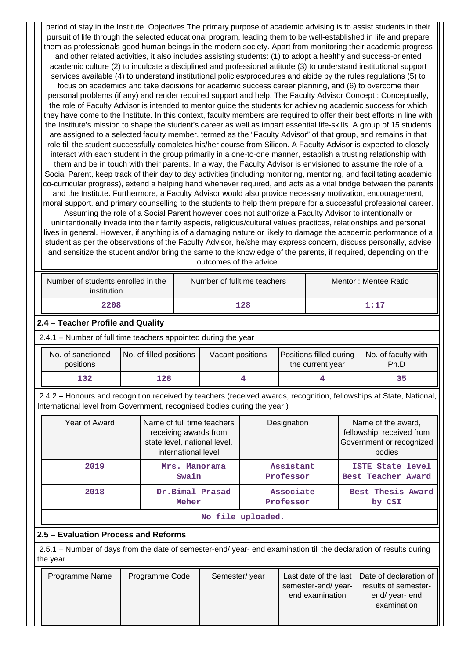period of stay in the Institute. Objectives The primary purpose of academic advising is to assist students in their pursuit of life through the selected educational program, leading them to be well-established in life and prepare them as professionals good human beings in the modern society. Apart from monitoring their academic progress and other related activities, it also includes assisting students: (1) to adopt a healthy and success-oriented academic culture (2) to inculcate a disciplined and professional attitude (3) to understand institutional support services available (4) to understand institutional policies/procedures and abide by the rules regulations (5) to focus on academics and take decisions for academic success career planning, and (6) to overcome their personal problems (if any) and render required support and help. The Faculty Advisor Concept : Conceptually, the role of Faculty Advisor is intended to mentor guide the students for achieving academic success for which they have come to the Institute. In this context, faculty members are required to offer their best efforts in line with the Institute's mission to shape the student's career as well as impart essential life-skills. A group of 15 students are assigned to a selected faculty member, termed as the "Faculty Advisor" of that group, and remains in that role till the student successfully completes his/her course from Silicon. A Faculty Advisor is expected to closely interact with each student in the group primarily in a one-to-one manner, establish a trusting relationship with them and be in touch with their parents. In a way, the Faculty Advisor is envisioned to assume the role of a Social Parent, keep track of their day to day activities (including monitoring, mentoring, and facilitating academic co-curricular progress), extend a helping hand whenever required, and acts as a vital bridge between the parents and the Institute. Furthermore, a Faculty Advisor would also provide necessary motivation, encouragement, moral support, and primary counselling to the students to help them prepare for a successful professional career. Assuming the role of a Social Parent however does not authorize a Faculty Advisor to intentionally or unintentionally invade into their family aspects, religious/cultural values practices, relationships and personal lives in general. However, if anything is of a damaging nature or likely to damage the academic performance of a student as per the observations of the Faculty Advisor, he/she may express concern, discuss personally, advise and sensitize the student and/or bring the same to the knowledge of the parents, if required, depending on the outcomes of the advice.

| Number of students enrolled in the<br>institution | Number of fulltime teachers | Mentor: Mentee Ratio |  |  |  |
|---------------------------------------------------|-----------------------------|----------------------|--|--|--|
| 2208                                              | 128                         | 1:17                 |  |  |  |

### **2.4 – Teacher Profile and Quality**

2.4.1 – Number of full time teachers appointed during the year

| No. of sanctioned<br>positions | No. of filled positions | Vacant positions | Positions filled during<br>the current year | No. of faculty with<br>Ph.D |
|--------------------------------|-------------------------|------------------|---------------------------------------------|-----------------------------|
| 132                            | 128                     |                  |                                             | 35                          |

 2.4.2 – Honours and recognition received by teachers (received awards, recognition, fellowships at State, National, International level from Government, recognised bodies during the year )

| Year of Award | Name of full time teachers<br>receiving awards from<br>state level, national level,<br>international level | Designation            | Name of the award,<br>fellowship, received from<br>Government or recognized<br>bodies |  |  |
|---------------|------------------------------------------------------------------------------------------------------------|------------------------|---------------------------------------------------------------------------------------|--|--|
| 2019          | Mrs. Manorama<br>Swain                                                                                     | Assistant<br>Professor | ISTE State level<br>Best Teacher Award                                                |  |  |
| 2018          | Dr.Bimal Prasad<br>Meher                                                                                   | Associate<br>Professor | Best Thesis Award<br>by CSI                                                           |  |  |
|               |                                                                                                            | No file uploaded.      |                                                                                       |  |  |

### **2.5 – Evaluation Process and Reforms**

 2.5.1 – Number of days from the date of semester-end/ year- end examination till the declaration of results during the year

| Programme Name | Programme Code | Semester/year | semester-end/year-<br>end examination | Last date of the last Date of declaration of<br>results of semester-<br>end/year-end<br>examination |
|----------------|----------------|---------------|---------------------------------------|-----------------------------------------------------------------------------------------------------|
|                |                |               |                                       |                                                                                                     |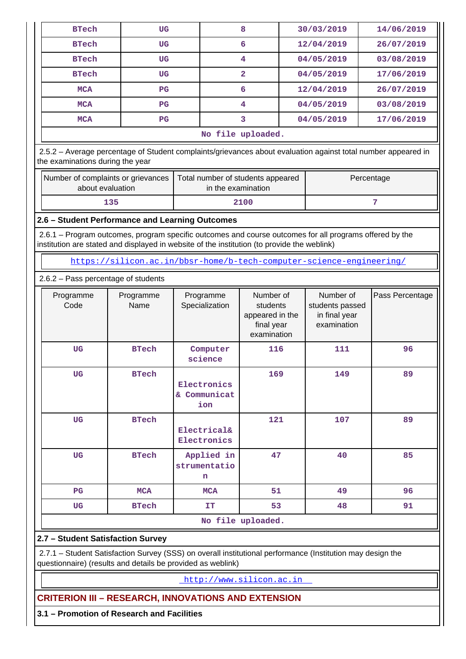| <b>BTech</b>                                                                                                                                                                                           | UG                |                                                                      | 8                                                                     |  | 30/03/2019                                                   | 14/06/2019      |  |  |  |  |  |  |
|--------------------------------------------------------------------------------------------------------------------------------------------------------------------------------------------------------|-------------------|----------------------------------------------------------------------|-----------------------------------------------------------------------|--|--------------------------------------------------------------|-----------------|--|--|--|--|--|--|
| <b>BTech</b>                                                                                                                                                                                           | UG                |                                                                      | 6                                                                     |  | 12/04/2019                                                   | 26/07/2019      |  |  |  |  |  |  |
| <b>BTech</b>                                                                                                                                                                                           | UG                |                                                                      | 4                                                                     |  | 04/05/2019                                                   | 03/08/2019      |  |  |  |  |  |  |
| <b>BTech</b>                                                                                                                                                                                           | UG                |                                                                      | $\overline{a}$                                                        |  | 04/05/2019                                                   | 17/06/2019      |  |  |  |  |  |  |
| <b>MCA</b>                                                                                                                                                                                             | $_{\rm PG}$       |                                                                      | 6                                                                     |  | 12/04/2019                                                   | 26/07/2019      |  |  |  |  |  |  |
| <b>MCA</b>                                                                                                                                                                                             | $_{\rm PG}$       |                                                                      | 4                                                                     |  | 04/05/2019                                                   | 03/08/2019      |  |  |  |  |  |  |
| <b>MCA</b>                                                                                                                                                                                             | $_{\rm PG}$       |                                                                      | 3                                                                     |  | 04/05/2019                                                   | 17/06/2019      |  |  |  |  |  |  |
| No file uploaded.                                                                                                                                                                                      |                   |                                                                      |                                                                       |  |                                                              |                 |  |  |  |  |  |  |
| 2.5.2 - Average percentage of Student complaints/grievances about evaluation against total number appeared in<br>the examinations during the year                                                      |                   |                                                                      |                                                                       |  |                                                              |                 |  |  |  |  |  |  |
| Number of complaints or grievances<br>Total number of students appeared<br>Percentage<br>about evaluation<br>in the examination                                                                        |                   |                                                                      |                                                                       |  |                                                              |                 |  |  |  |  |  |  |
| 7<br>135<br>2100                                                                                                                                                                                       |                   |                                                                      |                                                                       |  |                                                              |                 |  |  |  |  |  |  |
| 2.6 - Student Performance and Learning Outcomes                                                                                                                                                        |                   |                                                                      |                                                                       |  |                                                              |                 |  |  |  |  |  |  |
| 2.6.1 – Program outcomes, program specific outcomes and course outcomes for all programs offered by the<br>institution are stated and displayed in website of the institution (to provide the weblink) |                   |                                                                      |                                                                       |  |                                                              |                 |  |  |  |  |  |  |
|                                                                                                                                                                                                        |                   | https://silicon.ac.in/bbsr-home/b-tech-computer-science-engineering/ |                                                                       |  |                                                              |                 |  |  |  |  |  |  |
| 2.6.2 - Pass percentage of students                                                                                                                                                                    |                   |                                                                      |                                                                       |  |                                                              |                 |  |  |  |  |  |  |
|                                                                                                                                                                                                        |                   |                                                                      |                                                                       |  |                                                              |                 |  |  |  |  |  |  |
| Programme<br>Code                                                                                                                                                                                      | Programme<br>Name | Programme<br>Specialization                                          | Number of<br>students<br>appeared in the<br>final year<br>examination |  | Number of<br>students passed<br>in final year<br>examination | Pass Percentage |  |  |  |  |  |  |
| <b>UG</b>                                                                                                                                                                                              | <b>BTech</b>      | Computer<br>science                                                  | 116                                                                   |  | 111                                                          | 96              |  |  |  |  |  |  |
| UG                                                                                                                                                                                                     | <b>BTech</b>      | Electronics<br>& Communicat<br>ion                                   | 169                                                                   |  | 149                                                          | 89              |  |  |  |  |  |  |
| UG                                                                                                                                                                                                     | <b>BTech</b>      | Electrical&<br>Electronics                                           | 121                                                                   |  | 107                                                          | 89              |  |  |  |  |  |  |
| UG                                                                                                                                                                                                     | <b>BTech</b>      | Applied in<br>strumentatio<br>n                                      | 47                                                                    |  | 40                                                           | 85              |  |  |  |  |  |  |
| $_{\rm PG}$                                                                                                                                                                                            | <b>MCA</b>        | <b>MCA</b>                                                           | 51                                                                    |  | 49                                                           | 96              |  |  |  |  |  |  |
| <b>UG</b>                                                                                                                                                                                              | <b>BTech</b>      | <b>IT</b>                                                            | 53                                                                    |  | 48                                                           | 91              |  |  |  |  |  |  |
|                                                                                                                                                                                                        |                   |                                                                      | No file uploaded.                                                     |  |                                                              |                 |  |  |  |  |  |  |
| 2.7 - Student Satisfaction Survey                                                                                                                                                                      |                   |                                                                      |                                                                       |  |                                                              |                 |  |  |  |  |  |  |

questionnaire) (results and details be provided as weblink)

<http://www.silicon.ac.in>

**CRITERION III – RESEARCH, INNOVATIONS AND EXTENSION**

**3.1 – Promotion of Research and Facilities**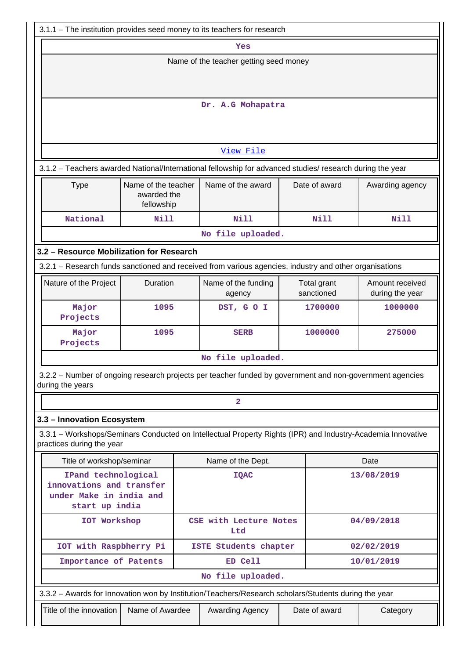| 3.1.1 – The institution provides seed money to its teachers for research                                                 |                                                                                                                                                                                                                        |                                                                                                             |  |               |             |  |  |  |  |  |  |
|--------------------------------------------------------------------------------------------------------------------------|------------------------------------------------------------------------------------------------------------------------------------------------------------------------------------------------------------------------|-------------------------------------------------------------------------------------------------------------|--|---------------|-------------|--|--|--|--|--|--|
|                                                                                                                          |                                                                                                                                                                                                                        | Yes                                                                                                         |  |               |             |  |  |  |  |  |  |
| Name of the teacher getting seed money                                                                                   |                                                                                                                                                                                                                        |                                                                                                             |  |               |             |  |  |  |  |  |  |
|                                                                                                                          |                                                                                                                                                                                                                        |                                                                                                             |  |               |             |  |  |  |  |  |  |
| Dr. A.G Mohapatra                                                                                                        |                                                                                                                                                                                                                        |                                                                                                             |  |               |             |  |  |  |  |  |  |
|                                                                                                                          |                                                                                                                                                                                                                        |                                                                                                             |  |               |             |  |  |  |  |  |  |
|                                                                                                                          |                                                                                                                                                                                                                        | View File                                                                                                   |  |               |             |  |  |  |  |  |  |
|                                                                                                                          |                                                                                                                                                                                                                        | 3.1.2 - Teachers awarded National/International fellowship for advanced studies/ research during the year   |  |               |             |  |  |  |  |  |  |
| Name of the award<br>Name of the teacher<br>Date of award<br>Awarding agency<br><b>Type</b><br>awarded the<br>fellowship |                                                                                                                                                                                                                        |                                                                                                             |  |               |             |  |  |  |  |  |  |
| National                                                                                                                 | <b>Nill</b>                                                                                                                                                                                                            | <b>Nill</b>                                                                                                 |  | <b>Nill</b>   | <b>Nill</b> |  |  |  |  |  |  |
|                                                                                                                          |                                                                                                                                                                                                                        | No file uploaded.                                                                                           |  |               |             |  |  |  |  |  |  |
| 3.2 - Resource Mobilization for Research                                                                                 |                                                                                                                                                                                                                        |                                                                                                             |  |               |             |  |  |  |  |  |  |
|                                                                                                                          |                                                                                                                                                                                                                        |                                                                                                             |  |               |             |  |  |  |  |  |  |
| Nature of the Project                                                                                                    | 3.2.1 - Research funds sanctioned and received from various agencies, industry and other organisations<br>Duration<br>Amount received<br>Name of the funding<br>Total grant<br>sanctioned<br>during the year<br>agency |                                                                                                             |  |               |             |  |  |  |  |  |  |
| Major<br>Projects                                                                                                        | 1095<br>DST, GO I<br>1700000<br>1000000                                                                                                                                                                                |                                                                                                             |  |               |             |  |  |  |  |  |  |
| Major<br>Projects                                                                                                        | 1095                                                                                                                                                                                                                   | <b>SERB</b>                                                                                                 |  | 1000000       | 275000      |  |  |  |  |  |  |
|                                                                                                                          |                                                                                                                                                                                                                        | No file uploaded.                                                                                           |  |               |             |  |  |  |  |  |  |
| during the years                                                                                                         |                                                                                                                                                                                                                        | 3.2.2 - Number of ongoing research projects per teacher funded by government and non-government agencies    |  |               |             |  |  |  |  |  |  |
|                                                                                                                          |                                                                                                                                                                                                                        | $\overline{a}$                                                                                              |  |               |             |  |  |  |  |  |  |
| 3.3 - Innovation Ecosystem                                                                                               |                                                                                                                                                                                                                        |                                                                                                             |  |               |             |  |  |  |  |  |  |
| practices during the year                                                                                                |                                                                                                                                                                                                                        | 3.3.1 – Workshops/Seminars Conducted on Intellectual Property Rights (IPR) and Industry-Academia Innovative |  |               |             |  |  |  |  |  |  |
| Title of workshop/seminar                                                                                                |                                                                                                                                                                                                                        | Name of the Dept.                                                                                           |  |               | Date        |  |  |  |  |  |  |
| IPand technological<br>innovations and transfer<br>under Make in india and<br>start up india                             |                                                                                                                                                                                                                        | <b>IQAC</b>                                                                                                 |  |               | 13/08/2019  |  |  |  |  |  |  |
| IOT Workshop                                                                                                             |                                                                                                                                                                                                                        | CSE with Lecture Notes<br>Ltd                                                                               |  |               | 04/09/2018  |  |  |  |  |  |  |
| IOT with Raspbherry Pi                                                                                                   |                                                                                                                                                                                                                        | ISTE Students chapter                                                                                       |  |               | 02/02/2019  |  |  |  |  |  |  |
| Importance of Patents                                                                                                    |                                                                                                                                                                                                                        | ED Cell                                                                                                     |  |               | 10/01/2019  |  |  |  |  |  |  |
|                                                                                                                          |                                                                                                                                                                                                                        | No file uploaded.                                                                                           |  |               |             |  |  |  |  |  |  |
|                                                                                                                          |                                                                                                                                                                                                                        | 3.3.2 - Awards for Innovation won by Institution/Teachers/Research scholars/Students during the year        |  |               |             |  |  |  |  |  |  |
| Title of the innovation                                                                                                  | Name of Awardee                                                                                                                                                                                                        | Awarding Agency                                                                                             |  | Date of award | Category    |  |  |  |  |  |  |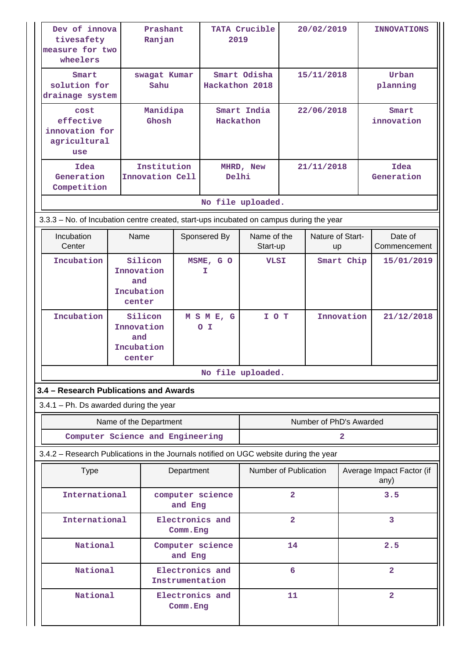| Dev of innova<br>tivesafety<br>measure for two<br>wheelers                              | Ranjan |                                                      |            | Prashant<br>TATA Crucible<br>2019  |                           | 20/02/2019              |                         | <b>INNOVATIONS</b> |                           |
|-----------------------------------------------------------------------------------------|--------|------------------------------------------------------|------------|------------------------------------|---------------------------|-------------------------|-------------------------|--------------------|---------------------------|
| Smart<br>solution for<br>drainage system                                                |        | swagat Kumar<br>Sahu                                 |            | Hackathon 2018                     | Smart Odisha              | 15/11/2018              |                         |                    | Urban<br>planning         |
| Manidipa<br>cost<br>effective<br>Ghosh<br>innovation for<br>agricultural<br>use         |        |                                                      | Hackathon  |                                    | Smart India<br>22/06/2018 |                         |                         |                    | Smart<br>innovation       |
| Idea<br>Generation<br>Competition                                                       |        | Institution<br>Innovation Cell                       |            | Delhi                              | MHRD, New                 |                         | 21/11/2018              |                    | Idea<br>Generation        |
| 3.3.3 - No. of Incubation centre created, start-ups incubated on campus during the year |        |                                                      |            | No file uploaded.                  |                           |                         |                         |                    |                           |
| Incubation<br>Center                                                                    | Name   |                                                      |            | Sponsered By                       | Name of the<br>Start-up   |                         | Nature of Start-<br>up  |                    | Date of<br>Commencement   |
| Incubation                                                                              |        | Silicon<br>Innovation<br>and<br>Incubation<br>center |            | MSME, GO<br>Ι.                     | <b>VLSI</b>               |                         |                         | Smart Chip         | 15/01/2019                |
| Incubation                                                                              | center | Silicon<br>Innovation<br>and<br>Incubation           |            | MSME, G<br>o I                     | I O T                     |                         |                         | Innovation         | 21/12/2018                |
|                                                                                         |        |                                                      |            | No file uploaded.                  |                           |                         |                         |                    |                           |
| 3.4 - Research Publications and Awards                                                  |        |                                                      |            |                                    |                           |                         |                         |                    |                           |
| $3.4.1$ – Ph. Ds awarded during the year                                                |        |                                                      |            |                                    |                           |                         |                         |                    |                           |
| Computer Science and Engineering                                                        |        | Name of the Department                               |            |                                    |                           |                         | Number of PhD's Awarded | 2                  |                           |
| 3.4.2 - Research Publications in the Journals notified on UGC website during the year   |        |                                                      |            |                                    |                           |                         |                         |                    |                           |
| <b>Type</b>                                                                             |        |                                                      | Department |                                    | Number of Publication     |                         |                         |                    | Average Impact Factor (if |
| International                                                                           |        |                                                      | and Eng    | computer science                   |                           | $\overline{\mathbf{2}}$ |                         |                    | any)<br>3.5               |
| International                                                                           |        |                                                      | Comm. Eng  | Electronics and                    |                           | $\overline{2}$          |                         |                    | 3                         |
| National                                                                                |        |                                                      | and Eng    | Computer science                   |                           | 14                      |                         |                    | 2.5                       |
| National                                                                                |        |                                                      |            | Electronics and<br>Instrumentation |                           | 6                       |                         |                    | $\overline{2}$            |
| National                                                                                |        |                                                      | Comm. Eng  | Electronics and                    |                           | 11                      |                         | $\overline{a}$     |                           |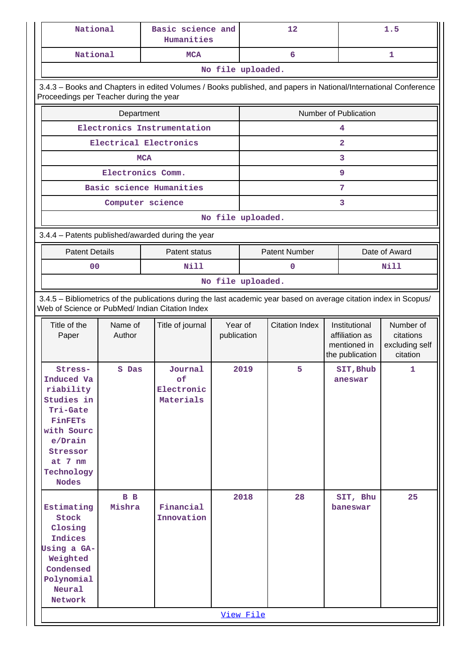| National                                |                                                                                                                                      | Basic science and<br>Humanities                                                                                 |                   |                                                                                                                                         | 12                    |                                 | 1.5                        |  |  |  |  |  |  |
|-----------------------------------------|--------------------------------------------------------------------------------------------------------------------------------------|-----------------------------------------------------------------------------------------------------------------|-------------------|-----------------------------------------------------------------------------------------------------------------------------------------|-----------------------|---------------------------------|----------------------------|--|--|--|--|--|--|
| National                                |                                                                                                                                      | <b>MCA</b>                                                                                                      |                   |                                                                                                                                         | 6                     |                                 | 1                          |  |  |  |  |  |  |
|                                         |                                                                                                                                      |                                                                                                                 | No file uploaded. |                                                                                                                                         |                       |                                 |                            |  |  |  |  |  |  |
|                                         |                                                                                                                                      | 3.4.3 - Books and Chapters in edited Volumes / Books published, and papers in National/International Conference |                   |                                                                                                                                         |                       |                                 |                            |  |  |  |  |  |  |
| Proceedings per Teacher during the year |                                                                                                                                      |                                                                                                                 |                   |                                                                                                                                         |                       |                                 |                            |  |  |  |  |  |  |
|                                         | Department                                                                                                                           |                                                                                                                 |                   | Number of Publication                                                                                                                   |                       |                                 |                            |  |  |  |  |  |  |
|                                         |                                                                                                                                      | Electronics Instrumentation                                                                                     |                   |                                                                                                                                         |                       | 4                               |                            |  |  |  |  |  |  |
|                                         |                                                                                                                                      | Electrical Electronics                                                                                          |                   |                                                                                                                                         |                       | $\overline{a}$                  |                            |  |  |  |  |  |  |
|                                         |                                                                                                                                      | <b>MCA</b>                                                                                                      |                   |                                                                                                                                         |                       | 3                               |                            |  |  |  |  |  |  |
|                                         |                                                                                                                                      | Electronics Comm.                                                                                               |                   |                                                                                                                                         |                       | 9                               |                            |  |  |  |  |  |  |
|                                         |                                                                                                                                      | Basic science Humanities                                                                                        |                   |                                                                                                                                         |                       | 7                               |                            |  |  |  |  |  |  |
|                                         |                                                                                                                                      | Computer science                                                                                                |                   |                                                                                                                                         |                       | 3                               |                            |  |  |  |  |  |  |
|                                         |                                                                                                                                      |                                                                                                                 | No file uploaded. |                                                                                                                                         |                       |                                 |                            |  |  |  |  |  |  |
|                                         |                                                                                                                                      |                                                                                                                 |                   |                                                                                                                                         |                       |                                 |                            |  |  |  |  |  |  |
|                                         | 3.4.4 - Patents published/awarded during the year<br><b>Patent Number</b><br><b>Patent Details</b><br>Patent status<br>Date of Award |                                                                                                                 |                   |                                                                                                                                         |                       |                                 |                            |  |  |  |  |  |  |
| 0 <sub>0</sub>                          |                                                                                                                                      | <b>Nill</b>                                                                                                     |                   |                                                                                                                                         | 0                     |                                 | Nill                       |  |  |  |  |  |  |
|                                         |                                                                                                                                      |                                                                                                                 |                   |                                                                                                                                         |                       |                                 |                            |  |  |  |  |  |  |
|                                         |                                                                                                                                      |                                                                                                                 |                   | No file uploaded.<br>3.4.5 - Bibliometrics of the publications during the last academic year based on average citation index in Scopus/ |                       |                                 |                            |  |  |  |  |  |  |
|                                         |                                                                                                                                      | Web of Science or PubMed/ Indian Citation Index                                                                 |                   |                                                                                                                                         |                       |                                 |                            |  |  |  |  |  |  |
| Title of the                            | Name of                                                                                                                              | Title of journal                                                                                                | Year of           |                                                                                                                                         | <b>Citation Index</b> | Institutional                   | Number of                  |  |  |  |  |  |  |
| Paper                                   | Author                                                                                                                               |                                                                                                                 | publication       |                                                                                                                                         |                       | affiliation as<br>citations     |                            |  |  |  |  |  |  |
|                                         |                                                                                                                                      |                                                                                                                 |                   |                                                                                                                                         |                       | mentioned in<br>the publication | excluding self<br>citation |  |  |  |  |  |  |
| Stress-                                 | S Das                                                                                                                                | Journal                                                                                                         |                   | 2019                                                                                                                                    | 5.                    | SIT, Bhub                       | 1.                         |  |  |  |  |  |  |
| Induced Va                              |                                                                                                                                      | of                                                                                                              |                   |                                                                                                                                         |                       | aneswar                         |                            |  |  |  |  |  |  |
| riability<br>Studies in                 |                                                                                                                                      | Electronic<br>Materials                                                                                         |                   |                                                                                                                                         |                       |                                 |                            |  |  |  |  |  |  |
| Tri-Gate                                |                                                                                                                                      |                                                                                                                 |                   |                                                                                                                                         |                       |                                 |                            |  |  |  |  |  |  |
| <b>FinFETs</b>                          |                                                                                                                                      |                                                                                                                 |                   |                                                                                                                                         |                       |                                 |                            |  |  |  |  |  |  |
| with Sourc<br>e/Drain                   |                                                                                                                                      |                                                                                                                 |                   |                                                                                                                                         |                       |                                 |                            |  |  |  |  |  |  |
| Stressor                                |                                                                                                                                      |                                                                                                                 |                   |                                                                                                                                         |                       |                                 |                            |  |  |  |  |  |  |
| at $7 \text{ nm}$                       |                                                                                                                                      |                                                                                                                 |                   |                                                                                                                                         |                       |                                 |                            |  |  |  |  |  |  |
| Technology                              |                                                                                                                                      |                                                                                                                 |                   |                                                                                                                                         |                       |                                 |                            |  |  |  |  |  |  |
| <b>Nodes</b>                            |                                                                                                                                      |                                                                                                                 |                   |                                                                                                                                         |                       |                                 |                            |  |  |  |  |  |  |
| Estimating                              | B B<br>Mishra                                                                                                                        | Financial                                                                                                       |                   | 2018                                                                                                                                    | 28                    | SIT, Bhu<br>baneswar            | 25                         |  |  |  |  |  |  |
| Stock                                   |                                                                                                                                      | Innovation                                                                                                      |                   |                                                                                                                                         |                       |                                 |                            |  |  |  |  |  |  |
| Closing                                 |                                                                                                                                      |                                                                                                                 |                   |                                                                                                                                         |                       |                                 |                            |  |  |  |  |  |  |
| Indices                                 |                                                                                                                                      |                                                                                                                 |                   |                                                                                                                                         |                       |                                 |                            |  |  |  |  |  |  |
| Using a GA-<br>Weighted                 |                                                                                                                                      |                                                                                                                 |                   |                                                                                                                                         |                       |                                 |                            |  |  |  |  |  |  |
| Condensed                               |                                                                                                                                      |                                                                                                                 |                   |                                                                                                                                         |                       |                                 |                            |  |  |  |  |  |  |
| Polynomial                              |                                                                                                                                      |                                                                                                                 |                   |                                                                                                                                         |                       |                                 |                            |  |  |  |  |  |  |
| Neural                                  |                                                                                                                                      |                                                                                                                 |                   |                                                                                                                                         |                       |                                 |                            |  |  |  |  |  |  |
| Network                                 |                                                                                                                                      |                                                                                                                 |                   |                                                                                                                                         |                       |                                 |                            |  |  |  |  |  |  |
|                                         |                                                                                                                                      |                                                                                                                 |                   | View File                                                                                                                               |                       |                                 |                            |  |  |  |  |  |  |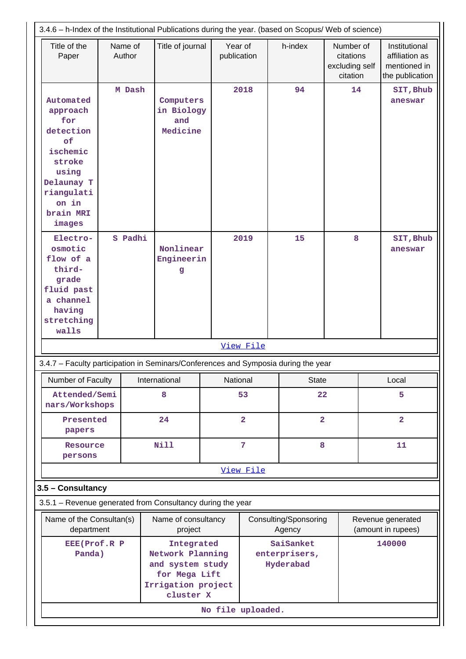| 3.4.6 - h-Index of the Institutional Publications during the year. (based on Scopus/ Web of science)                                       |                        |  |                                            |                                                                                                        |                          |                                         |                                                      |       |                                                                    |
|--------------------------------------------------------------------------------------------------------------------------------------------|------------------------|--|--------------------------------------------|--------------------------------------------------------------------------------------------------------|--------------------------|-----------------------------------------|------------------------------------------------------|-------|--------------------------------------------------------------------|
| Title of the<br>Paper                                                                                                                      | Name of<br>Author      |  | Title of journal                           |                                                                                                        | Year of<br>publication   | h-index                                 | Number of<br>citations<br>excluding self<br>citation |       | Institutional<br>affiliation as<br>mentioned in<br>the publication |
| Automated<br>approach<br>for<br>detection<br>0f<br>ischemic<br>stroke<br>using<br>Delaunay T<br>riangulati<br>on in<br>brain MRI<br>images | M Dash                 |  | Computers<br>in Biology<br>and<br>Medicine |                                                                                                        | 2018                     | 94                                      | 14                                                   |       | SIT, Bhub<br>aneswar                                               |
| Electro-<br>osmotic<br>flow of a<br>third-<br>grade<br>fluid past<br>a channel<br>having<br>stretching<br>walls                            | S Padhi                |  | Nonlinear<br>Engineerin<br>g               |                                                                                                        | 2019                     | 15                                      | 8                                                    |       | SIT, Bhub<br>aneswar                                               |
|                                                                                                                                            |                        |  |                                            |                                                                                                        | View File                |                                         |                                                      |       |                                                                    |
| 3.4.7 - Faculty participation in Seminars/Conferences and Symposia during the year                                                         |                        |  |                                            |                                                                                                        |                          |                                         |                                                      |       |                                                                    |
| Number of Faculty                                                                                                                          |                        |  | International                              |                                                                                                        | National<br><b>State</b> |                                         |                                                      | Local |                                                                    |
| Attended/Semi<br>nars/Workshops                                                                                                            |                        |  | 8                                          |                                                                                                        | 53                       | 22                                      |                                                      |       | 5                                                                  |
| Presented<br>papers                                                                                                                        |                        |  | 24                                         |                                                                                                        | $\overline{2}$           |                                         | $\overline{a}$                                       |       | $\overline{2}$                                                     |
| Resource<br>persons                                                                                                                        |                        |  | <b>Nill</b>                                |                                                                                                        | $\overline{7}$           | 8                                       |                                                      |       | 11                                                                 |
|                                                                                                                                            |                        |  |                                            |                                                                                                        | View File                |                                         |                                                      |       |                                                                    |
| 3.5 - Consultancy                                                                                                                          |                        |  |                                            |                                                                                                        |                          |                                         |                                                      |       |                                                                    |
| 3.5.1 - Revenue generated from Consultancy during the year                                                                                 |                        |  |                                            |                                                                                                        |                          |                                         |                                                      |       |                                                                    |
| Name of the Consultan(s)<br>department                                                                                                     |                        |  | Name of consultancy<br>project             |                                                                                                        |                          | Consulting/Sponsoring<br>Agency         |                                                      |       | Revenue generated<br>(amount in rupees)                            |
|                                                                                                                                            | EEE(Prof.R P<br>Panda) |  |                                            | Integrated<br>Network Planning<br>and system study<br>for Mega Lift<br>Irrigation project<br>cluster X |                          | SaiSanket<br>enterprisers,<br>Hyderabad |                                                      |       | 140000                                                             |
|                                                                                                                                            |                        |  |                                            | No file uploaded.                                                                                      |                          |                                         |                                                      |       |                                                                    |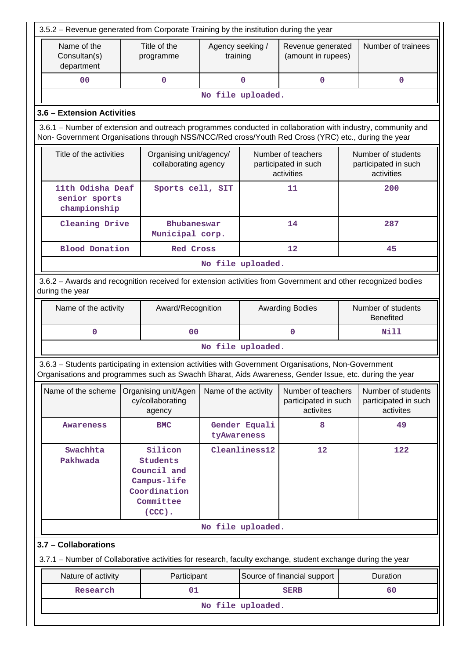| 3.5.2 - Revenue generated from Corporate Training by the institution during the year                                                                                                                               |  |                                                                                             |                              |                   |                                                          |    |                                                          |  |  |
|--------------------------------------------------------------------------------------------------------------------------------------------------------------------------------------------------------------------|--|---------------------------------------------------------------------------------------------|------------------------------|-------------------|----------------------------------------------------------|----|----------------------------------------------------------|--|--|
| Name of the<br>Consultan(s)<br>department                                                                                                                                                                          |  | Title of the<br>programme                                                                   | Agency seeking /<br>training |                   | Revenue generated<br>(amount in rupees)                  |    | Number of trainees                                       |  |  |
| 00                                                                                                                                                                                                                 |  | $\mathbf 0$                                                                                 |                              | $\mathbf 0$       | $\mathbf 0$                                              |    | $\mathbf 0$                                              |  |  |
|                                                                                                                                                                                                                    |  |                                                                                             |                              | No file uploaded. |                                                          |    |                                                          |  |  |
| 3.6 - Extension Activities                                                                                                                                                                                         |  |                                                                                             |                              |                   |                                                          |    |                                                          |  |  |
| 3.6.1 – Number of extension and outreach programmes conducted in collaboration with industry, community and<br>Non- Government Organisations through NSS/NCC/Red cross/Youth Red Cross (YRC) etc., during the year |  |                                                                                             |                              |                   |                                                          |    |                                                          |  |  |
| Title of the activities                                                                                                                                                                                            |  | Organising unit/agency/<br>collaborating agency                                             |                              |                   | Number of teachers<br>participated in such<br>activities |    | Number of students<br>participated in such<br>activities |  |  |
| 11th Odisha Deaf<br>senior sports<br>championship                                                                                                                                                                  |  | Sports cell, SIT                                                                            |                              |                   | 11                                                       |    | 200                                                      |  |  |
| Cleaning Drive                                                                                                                                                                                                     |  | Bhubaneswar<br>Municipal corp.                                                              |                              |                   | 14                                                       |    | 287                                                      |  |  |
| <b>Blood Donation</b>                                                                                                                                                                                              |  | <b>Red Cross</b>                                                                            |                              |                   | 12                                                       |    | 45                                                       |  |  |
|                                                                                                                                                                                                                    |  |                                                                                             |                              | No file uploaded. |                                                          |    |                                                          |  |  |
| 3.6.2 - Awards and recognition received for extension activities from Government and other recognized bodies<br>during the year                                                                                    |  |                                                                                             |                              |                   |                                                          |    |                                                          |  |  |
| Name of the activity                                                                                                                                                                                               |  | Award/Recognition                                                                           |                              |                   | <b>Awarding Bodies</b>                                   |    | Number of students<br><b>Benefited</b>                   |  |  |
| 0                                                                                                                                                                                                                  |  | 0 <sub>0</sub>                                                                              |                              |                   | $\mathbf 0$                                              |    | Nill                                                     |  |  |
|                                                                                                                                                                                                                    |  |                                                                                             |                              | No file uploaded. |                                                          |    |                                                          |  |  |
| 3.6.3 - Students participating in extension activities with Government Organisations, Non-Government<br>Organisations and programmes such as Swachh Bharat, Aids Awareness, Gender Issue, etc. during the year     |  |                                                                                             |                              |                   |                                                          |    |                                                          |  |  |
| Name of the scheme                                                                                                                                                                                                 |  | Organising unit/Agen<br>cy/collaborating<br>agency                                          | Name of the activity         |                   | Number of teachers<br>participated in such<br>activites  |    | Number of students<br>participated in such<br>activites  |  |  |
| <b>Awareness</b>                                                                                                                                                                                                   |  | <b>BMC</b>                                                                                  | tyAwareness                  | Gender Equali     | 8                                                        |    | 49                                                       |  |  |
| Swachhta<br>Pakhwada                                                                                                                                                                                               |  | Silicon<br>Students<br>Council and<br>Campus-life<br>Coordination<br>Committee<br>$(CCC)$ . |                              | Cleanliness12     | 12                                                       |    | 122                                                      |  |  |
|                                                                                                                                                                                                                    |  |                                                                                             |                              | No file uploaded. |                                                          |    |                                                          |  |  |
| 3.7 - Collaborations                                                                                                                                                                                               |  |                                                                                             |                              |                   |                                                          |    |                                                          |  |  |
| 3.7.1 – Number of Collaborative activities for research, faculty exchange, student exchange during the year                                                                                                        |  |                                                                                             |                              |                   |                                                          |    |                                                          |  |  |
| Nature of activity                                                                                                                                                                                                 |  | Participant                                                                                 |                              |                   | Source of financial support                              |    | Duration                                                 |  |  |
| Research                                                                                                                                                                                                           |  | 01                                                                                          |                              |                   | <b>SERB</b>                                              | 60 |                                                          |  |  |
|                                                                                                                                                                                                                    |  |                                                                                             |                              | No file uploaded. |                                                          |    |                                                          |  |  |
|                                                                                                                                                                                                                    |  |                                                                                             |                              |                   |                                                          |    |                                                          |  |  |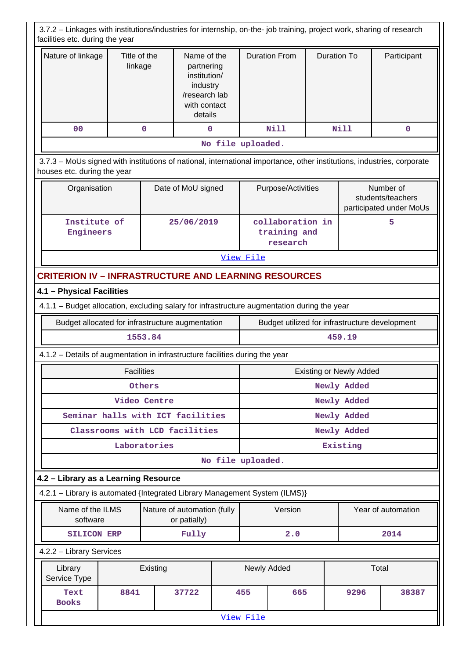| 3.7.2 - Linkages with institutions/industries for internship, on-the- job training, project work, sharing of research<br>facilities etc. during the year |                                                                                                                                                       |                         |                                                                                                   |            |                   |                                              |                    |                         |                                                           |  |  |
|----------------------------------------------------------------------------------------------------------------------------------------------------------|-------------------------------------------------------------------------------------------------------------------------------------------------------|-------------------------|---------------------------------------------------------------------------------------------------|------------|-------------------|----------------------------------------------|--------------------|-------------------------|-----------------------------------------------------------|--|--|
| Nature of linkage                                                                                                                                        |                                                                                                                                                       | Title of the<br>linkage | Name of the<br>partnering<br>institution/<br>industry<br>/research lab<br>with contact<br>details |            |                   | <b>Duration From</b>                         | <b>Duration To</b> |                         | Participant                                               |  |  |
| 0 <sub>0</sub>                                                                                                                                           |                                                                                                                                                       | $\mathbf 0$             | 0                                                                                                 |            |                   | Nill                                         |                    | Nill                    | 0                                                         |  |  |
|                                                                                                                                                          |                                                                                                                                                       |                         |                                                                                                   |            | No file uploaded. |                                              |                    |                         |                                                           |  |  |
|                                                                                                                                                          | 3.7.3 – MoUs signed with institutions of national, international importance, other institutions, industries, corporate<br>houses etc. during the year |                         |                                                                                                   |            |                   |                                              |                    |                         |                                                           |  |  |
|                                                                                                                                                          | Organisation<br>Date of MoU signed                                                                                                                    |                         |                                                                                                   |            |                   | Purpose/Activities                           |                    |                         | Number of<br>students/teachers<br>participated under MoUs |  |  |
|                                                                                                                                                          | Institute of<br>Engineers                                                                                                                             |                         |                                                                                                   | 25/06/2019 |                   | collaboration in<br>training and<br>research |                    |                         | 5                                                         |  |  |
|                                                                                                                                                          |                                                                                                                                                       |                         |                                                                                                   |            |                   |                                              |                    |                         |                                                           |  |  |
| <b>CRITERION IV - INFRASTRUCTURE AND LEARNING RESOURCES</b>                                                                                              |                                                                                                                                                       |                         |                                                                                                   |            |                   |                                              |                    |                         |                                                           |  |  |
| 4.1 - Physical Facilities                                                                                                                                |                                                                                                                                                       |                         |                                                                                                   |            |                   |                                              |                    |                         |                                                           |  |  |
| 4.1.1 - Budget allocation, excluding salary for infrastructure augmentation during the year                                                              |                                                                                                                                                       |                         |                                                                                                   |            |                   |                                              |                    |                         |                                                           |  |  |
|                                                                                                                                                          | Budget allocated for infrastructure augmentation                                                                                                      |                         |                                                                                                   |            |                   |                                              |                    |                         | Budget utilized for infrastructure development            |  |  |
|                                                                                                                                                          |                                                                                                                                                       | 1553.84                 |                                                                                                   |            | 459.19            |                                              |                    |                         |                                                           |  |  |
| 4.1.2 - Details of augmentation in infrastructure facilities during the year                                                                             |                                                                                                                                                       |                         |                                                                                                   |            |                   |                                              |                    |                         |                                                           |  |  |
|                                                                                                                                                          |                                                                                                                                                       | <b>Facilities</b>       |                                                                                                   |            |                   |                                              |                    | Existing or Newly Added |                                                           |  |  |
|                                                                                                                                                          |                                                                                                                                                       | Others                  |                                                                                                   |            | Newly Added       |                                              |                    |                         |                                                           |  |  |
|                                                                                                                                                          |                                                                                                                                                       | Video Centre            |                                                                                                   |            | Newly Added       |                                              |                    |                         |                                                           |  |  |
|                                                                                                                                                          | Seminar halls with ICT facilities                                                                                                                     |                         |                                                                                                   |            |                   |                                              |                    | Newly Added             |                                                           |  |  |
|                                                                                                                                                          | Classrooms with LCD facilities                                                                                                                        |                         |                                                                                                   |            |                   |                                              |                    | Newly Added             |                                                           |  |  |
|                                                                                                                                                          |                                                                                                                                                       | Laboratories            |                                                                                                   |            |                   |                                              |                    | Existing                |                                                           |  |  |
|                                                                                                                                                          |                                                                                                                                                       |                         |                                                                                                   |            | No file uploaded. |                                              |                    |                         |                                                           |  |  |
| 4.2 - Library as a Learning Resource                                                                                                                     |                                                                                                                                                       |                         |                                                                                                   |            |                   |                                              |                    |                         |                                                           |  |  |
| 4.2.1 - Library is automated {Integrated Library Management System (ILMS)}                                                                               |                                                                                                                                                       |                         |                                                                                                   |            |                   |                                              |                    |                         |                                                           |  |  |
|                                                                                                                                                          | Name of the ILMS<br>software                                                                                                                          |                         | Nature of automation (fully<br>or patially)                                                       |            |                   | Version                                      |                    |                         | Year of automation                                        |  |  |
|                                                                                                                                                          | <b>SILICON ERP</b>                                                                                                                                    |                         | Fully                                                                                             |            |                   | 2.0                                          |                    |                         | 2014                                                      |  |  |
| 4.2.2 - Library Services                                                                                                                                 |                                                                                                                                                       |                         |                                                                                                   |            |                   |                                              |                    |                         |                                                           |  |  |
| Library                                                                                                                                                  | Existing<br>Service Type                                                                                                                              |                         |                                                                                                   |            | Newly Added       |                                              |                    | Total                   |                                                           |  |  |
| Text<br><b>Books</b>                                                                                                                                     | 8841                                                                                                                                                  |                         | 37722                                                                                             |            | 455               | 665                                          |                    | 9296                    | 38387                                                     |  |  |
|                                                                                                                                                          |                                                                                                                                                       |                         |                                                                                                   |            | View File         |                                              |                    |                         |                                                           |  |  |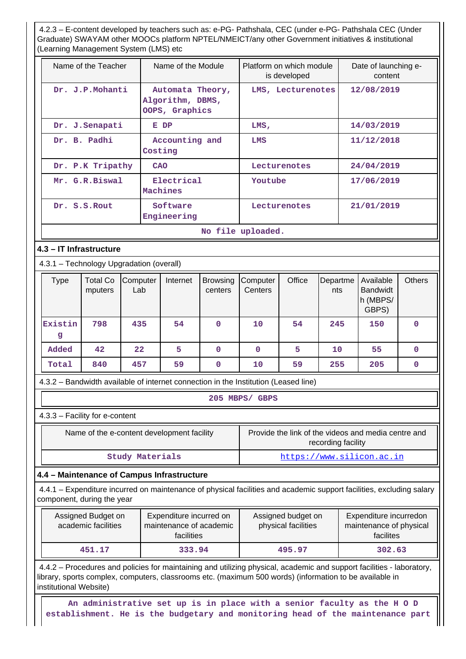4.2.3 – E-content developed by teachers such as: e-PG- Pathshala, CEC (under e-PG- Pathshala CEC (Under Graduate) SWAYAM other MOOCs platform NPTEL/NMEICT/any other Government initiatives & institutional (Learning Management System (LMS) etc

| (Learning ividitagement Oystem (Livio) etc                                                                                                                                                                                                                 |                                           |                 |                                        |                                                                  |              |                                                                                                             |                   |                    |            |                                                     |               |  |
|------------------------------------------------------------------------------------------------------------------------------------------------------------------------------------------------------------------------------------------------------------|-------------------------------------------|-----------------|----------------------------------------|------------------------------------------------------------------|--------------|-------------------------------------------------------------------------------------------------------------|-------------------|--------------------|------------|-----------------------------------------------------|---------------|--|
|                                                                                                                                                                                                                                                            | Name of the Teacher                       |                 |                                        | Name of the Module                                               |              | Platform on which module<br>Date of launching e-<br>is developed<br>content                                 |                   |                    |            |                                                     |               |  |
|                                                                                                                                                                                                                                                            | Dr. J.P.Mohanti                           |                 |                                        | Automata Theory,<br>Algorithm, DBMS,<br>OOPS, Graphics           |              |                                                                                                             | LMS, Lecturenotes |                    |            | 12/08/2019                                          |               |  |
|                                                                                                                                                                                                                                                            | Dr. J. Senapati                           |                 |                                        | E DP                                                             |              | 14/03/2019<br>LMS,                                                                                          |                   |                    |            |                                                     |               |  |
|                                                                                                                                                                                                                                                            | Dr. B. Padhi                              |                 | Costing                                | Accounting and                                                   |              | LMS                                                                                                         |                   |                    | 11/12/2018 |                                                     |               |  |
|                                                                                                                                                                                                                                                            | Dr. P.K Tripathy                          | CAO             |                                        |                                                                  | Lecturenotes |                                                                                                             |                   | 24/04/2019         |            |                                                     |               |  |
|                                                                                                                                                                                                                                                            | Mr. G.R.Biswal                            |                 |                                        | Electrical<br><b>Machines</b>                                    |              | Youtube                                                                                                     |                   |                    |            | 17/06/2019                                          |               |  |
|                                                                                                                                                                                                                                                            | Dr. S.S.Rout                              |                 |                                        | Software<br>Engineering                                          |              |                                                                                                             | Lecturenotes      |                    |            | 21/01/2019                                          |               |  |
| No file uploaded.                                                                                                                                                                                                                                          |                                           |                 |                                        |                                                                  |              |                                                                                                             |                   |                    |            |                                                     |               |  |
| 4.3 - IT Infrastructure                                                                                                                                                                                                                                    |                                           |                 |                                        |                                                                  |              |                                                                                                             |                   |                    |            |                                                     |               |  |
| 4.3.1 - Technology Upgradation (overall)                                                                                                                                                                                                                   |                                           |                 |                                        |                                                                  |              |                                                                                                             |                   |                    |            |                                                     |               |  |
| <b>Type</b>                                                                                                                                                                                                                                                | <b>Total Co</b><br>mputers                | Computer<br>Lab | Internet<br><b>Browsing</b><br>centers |                                                                  |              | Computer<br>Centers                                                                                         | Office            | Departme<br>nts    |            | Available<br><b>Bandwidt</b><br>h (MBPS/<br>GBPS)   | <b>Others</b> |  |
| Existin<br>g                                                                                                                                                                                                                                               | 798                                       | 435             |                                        | 54                                                               | 0            | 10                                                                                                          | 54                | 245                |            | 150                                                 | 0             |  |
| Added                                                                                                                                                                                                                                                      | 42                                        | 22              |                                        | 5                                                                | $\mathbf 0$  | $\mathbf 0$                                                                                                 | 5                 | 10                 |            | 55                                                  | $\mathbf 0$   |  |
| Total                                                                                                                                                                                                                                                      | 840                                       | 457             |                                        | 59                                                               | $\mathbf{0}$ | 10                                                                                                          | 59                | 255<br>205<br>0    |            |                                                     |               |  |
| 4.3.2 - Bandwidth available of internet connection in the Institution (Leased line)                                                                                                                                                                        |                                           |                 |                                        |                                                                  |              |                                                                                                             |                   |                    |            |                                                     |               |  |
|                                                                                                                                                                                                                                                            |                                           |                 |                                        |                                                                  |              | 205 MBPS/ GBPS                                                                                              |                   |                    |            |                                                     |               |  |
| 4.3.3 - Facility for e-content                                                                                                                                                                                                                             |                                           |                 |                                        |                                                                  |              |                                                                                                             |                   |                    |            |                                                     |               |  |
|                                                                                                                                                                                                                                                            |                                           |                 |                                        | Name of the e-content development facility                       |              |                                                                                                             |                   | recording facility |            | Provide the link of the videos and media centre and |               |  |
|                                                                                                                                                                                                                                                            |                                           |                 |                                        | <b>Study Materials</b>                                           |              |                                                                                                             |                   |                    |            | https://www.silicon.ac.in                           |               |  |
| 4.4 - Maintenance of Campus Infrastructure                                                                                                                                                                                                                 |                                           |                 |                                        |                                                                  |              |                                                                                                             |                   |                    |            |                                                     |               |  |
| 4.4.1 – Expenditure incurred on maintenance of physical facilities and academic support facilities, excluding salary<br>component, during the year                                                                                                         |                                           |                 |                                        |                                                                  |              |                                                                                                             |                   |                    |            |                                                     |               |  |
|                                                                                                                                                                                                                                                            | Assigned Budget on<br>academic facilities |                 |                                        | Expenditure incurred on<br>maintenance of academic<br>facilities |              | Assigned budget on<br>Expenditure incurredon<br>physical facilities<br>maintenance of physical<br>facilites |                   |                    |            |                                                     |               |  |
|                                                                                                                                                                                                                                                            | 451.17                                    |                 |                                        | 333.94                                                           |              |                                                                                                             | 495.97            |                    |            | 302.63                                              |               |  |
| 4.4.2 - Procedures and policies for maintaining and utilizing physical, academic and support facilities - laboratory,<br>library, sports complex, computers, classrooms etc. (maximum 500 words) (information to be available in<br>institutional Website) |                                           |                 |                                        |                                                                  |              |                                                                                                             |                   |                    |            |                                                     |               |  |

 **An administrative set up is in place with a senior faculty as the H O D establishment. He is the budgetary and monitoring head of the maintenance part**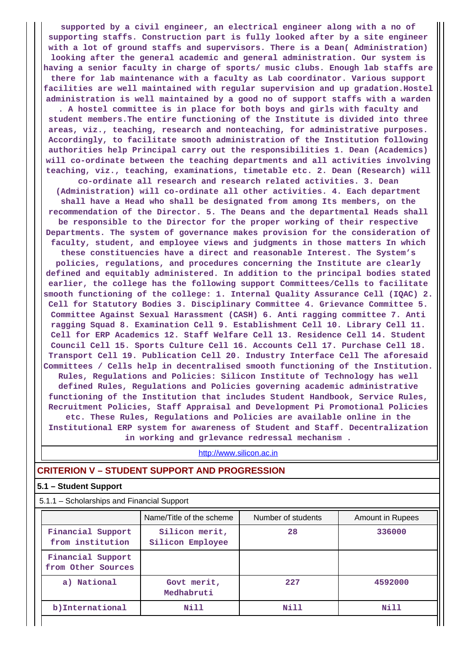**supported by a civil engineer, an electrical engineer along with a no of supporting staffs. Construction part is fully looked after by a site engineer with a lot of ground staffs and supervisors. There is a Dean( Administration) looking after the general academic and general administration. Our system is having a senior faculty in charge of sports/ music clubs. Enough lab staffs are there for lab maintenance with a faculty as Lab coordinator. Various support facilities are well maintained with regular supervision and up gradation.Hostel administration is well maintained by a good no of support staffs with a warden . A hostel committee is in place for both boys and girls with faculty and student members.The entire functioning of the Institute is divided into three areas, viz., teaching, research and nonteaching, for administrative purposes. Accordingly, to facilitate smooth administration of the Institution following authorities help Principal carry out the responsibilities 1. Dean (Academics) will co-ordinate between the teaching departments and all activities involving teaching, viz., teaching, examinations, timetable etc. 2. Dean (Research) will co-ordinate all research and research related activities. 3. Dean (Administration) will co-ordinate all other activities. 4. Each department shall have a Head who shall be designated from among Its members, on the recommendation of the Director. 5. The Deans and the departmental Heads shall be responsible to the Director for the proper working of their respective Departments. The system of governance makes provision for the consideration of faculty, student, and employee views and judgments in those matters In which these constituencies have a direct and reasonable Interest. The System's policies, regulations, and procedures concerning the Institute are clearly defined and equitably administered. In addition to the principal bodies stated earlier, the college has the following support Committees/Cells to facilitate smooth functioning of the college: 1. Internal Quality Assurance Cell (IQAC) 2. Cell for Statutory Bodies 3. Disciplinary Committee 4. Grievance Committee 5. Committee Against Sexual Harassment (CASH) 6. Anti ragging committee 7. Anti ragging Squad 8. Examination Cell 9. Establishment Cell 10. Library Cell 11. Cell for ERP Academics 12. Staff Welfare Cell 13. Residence Cell 14. Student Council Cell 15. Sports Culture Cell 16. Accounts Cell 17. Purchase Cell 18. Transport Cell 19. Publication Cell 20. Industry Interface Cell The aforesaid Committees / Cells help in decentralised smooth functioning of the Institution. Rules, Regulations and Policies: Silicon Institute of Technology has well defined Rules, Regulations and Policies governing academic administrative functioning of the Institution that includes Student Handbook, Service Rules, Recruitment Policies, Staff Appraisal and Development Pi Promotional Policies etc. These Rules, Regulations and Policies are available online in the Institutional ERP system for awareness of Student and Staff. Decentralization in working and grlevance redressal mechanism .**

<http://www.silicon.ac.in>

### **CRITERION V – STUDENT SUPPORT AND PROGRESSION**

### **5.1 – Student Support**

5.1.1 – Scholarships and Financial Support

|                                         | Name/Title of the scheme           | Number of students | Amount in Rupees |  |
|-----------------------------------------|------------------------------------|--------------------|------------------|--|
| Financial Support<br>from institution   | Silicon merit,<br>Silicon Employee | 28                 | 336000           |  |
| Financial Support<br>from Other Sources |                                    |                    |                  |  |
| a) National                             | Govt merit,<br>Medhabruti          | 227                | 4592000          |  |
| b)International                         | Nill                               | Nill               | Nill             |  |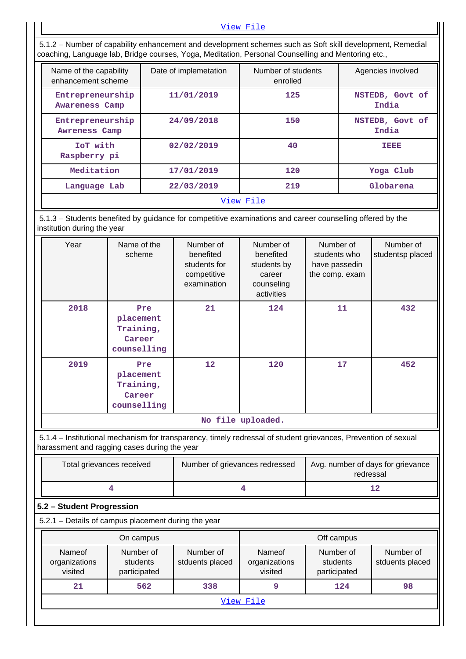#### [View File](https://assessmentonline.naac.gov.in/public/Postacc/Scholarships/4869_Scholarships_1584266705.xlsx)

 5.1.2 – Number of capability enhancement and development schemes such as Soft skill development, Remedial coaching, Language lab, Bridge courses, Yoga, Meditation, Personal Counselling and Mentoring etc., Name of the capability enhancement scheme Date of implemetation | Number of students enrolled Agencies involved  **Entrepreneurship Awareness Camp 11/01/2019 125 NSTEDB, Govt of India Entrepreneurship Awreness Camp 24/09/2018 150 NSTEDB, Govt of India IoT with Raspberry pi 02/02/2019 40 IEEE Meditation 17/01/2019 120 Yoga Club Language Lab 22/03/2019 219 Globarena** [View File](https://assessmentonline.naac.gov.in/public/Postacc/Development_Schemes/4869_Development_Schemes_1644161318.xlsx) 5.1.3 – Students benefited by guidance for competitive examinations and career counselling offered by the institution during the year Year **Name of the** scheme Number of benefited students for competitive examination Number of benefited students by career counseling activities Number of students who have passedin the comp. exam Number of studentsp placed  **2018 Pre placement Training, Career counselling 21 124 11 432 2019 Pre placement Training, Career counselling 12 120 17 452 No file uploaded.** 5.1.4 – Institutional mechanism for transparency, timely redressal of student grievances, Prevention of sexual harassment and ragging cases during the year Total grievances received | Number of grievances redressed | Avg. number of days for grievance redressal **4** 12 **5.2 – Student Progression** 5.2.1 – Details of campus placement during the year **On campus On campus On campus Deficiency Off campus** Nameof organizations Number of students Number of stduents placed Nameof organizations Number of students Number of stduents placed

**21 | 562 | 338 | 9 | 124 | 98** [View File](https://assessmentonline.naac.gov.in/public/Postacc/Placement/4869_Placement_1644167755.xlsx)

visited

participated

visited

participated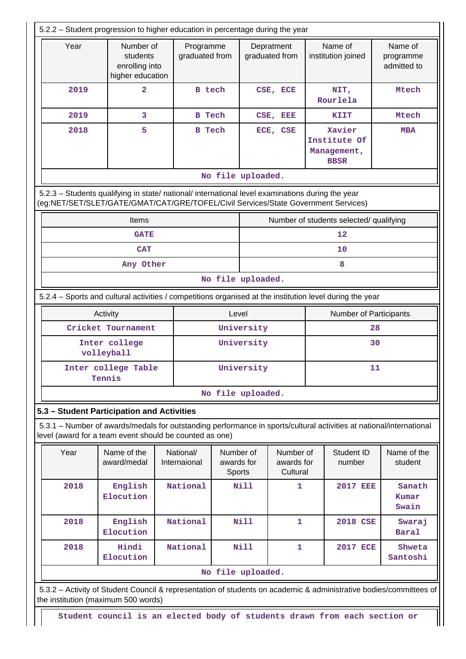| 5.2.2 - Student progression to higher education in percentage during the year |                                                                                                                                                                                        |                             |                                   |                              |                                     |                                                      |                        |                                     |  |  |  |
|-------------------------------------------------------------------------------|----------------------------------------------------------------------------------------------------------------------------------------------------------------------------------------|-----------------------------|-----------------------------------|------------------------------|-------------------------------------|------------------------------------------------------|------------------------|-------------------------------------|--|--|--|
| Year                                                                          | Number of<br>students<br>enrolling into<br>higher education                                                                                                                            | Programme<br>graduated from |                                   | Depratment<br>graduated from |                                     | Name of<br>institution joined                        |                        | Name of<br>programme<br>admitted to |  |  |  |
| 2019                                                                          | $\overline{2}$                                                                                                                                                                         | <b>B</b> tech               |                                   |                              | CSE, ECE                            | NIT,<br>Rourlela                                     |                        | Mtech                               |  |  |  |
| 2019                                                                          | 3                                                                                                                                                                                      | <b>B</b> Tech               |                                   |                              | CSE, EEE                            | KIIT                                                 |                        | Mtech                               |  |  |  |
| 2018                                                                          | 5                                                                                                                                                                                      | <b>B</b> Tech               |                                   |                              | ECE, CSE                            | Xavier<br>Institute Of<br>Management,<br><b>BBSR</b> |                        | <b>MBA</b>                          |  |  |  |
|                                                                               | No file uploaded.                                                                                                                                                                      |                             |                                   |                              |                                     |                                                      |                        |                                     |  |  |  |
|                                                                               | 5.2.3 - Students qualifying in state/ national/ international level examinations during the year<br>(eg:NET/SET/SLET/GATE/GMAT/CAT/GRE/TOFEL/Civil Services/State Government Services) |                             |                                   |                              |                                     |                                                      |                        |                                     |  |  |  |
|                                                                               | <b>Items</b>                                                                                                                                                                           |                             |                                   |                              |                                     | Number of students selected/ qualifying              |                        |                                     |  |  |  |
|                                                                               | <b>GATE</b>                                                                                                                                                                            |                             |                                   |                              |                                     | 12                                                   |                        |                                     |  |  |  |
|                                                                               | <b>CAT</b>                                                                                                                                                                             |                             |                                   |                              |                                     | 10                                                   |                        |                                     |  |  |  |
|                                                                               | Any Other<br>8                                                                                                                                                                         |                             |                                   |                              |                                     |                                                      |                        |                                     |  |  |  |
|                                                                               |                                                                                                                                                                                        |                             |                                   | No file uploaded.            |                                     |                                                      |                        |                                     |  |  |  |
|                                                                               | 5.2.4 – Sports and cultural activities / competitions organised at the institution level during the year                                                                               |                             |                                   |                              |                                     |                                                      |                        |                                     |  |  |  |
|                                                                               | Activity                                                                                                                                                                               |                             | Level                             |                              |                                     |                                                      | Number of Participants |                                     |  |  |  |
|                                                                               | Cricket Tournament                                                                                                                                                                     |                             |                                   | University<br>28             |                                     |                                                      |                        |                                     |  |  |  |
|                                                                               | Inter college<br>volleyball                                                                                                                                                            |                             |                                   | University<br>30             |                                     |                                                      |                        |                                     |  |  |  |
|                                                                               | Inter college Table<br>Tennis                                                                                                                                                          |                             |                                   | University                   |                                     |                                                      | 11                     |                                     |  |  |  |
|                                                                               |                                                                                                                                                                                        |                             |                                   | No file uploaded.            |                                     |                                                      |                        |                                     |  |  |  |
|                                                                               | 5.3 - Student Participation and Activities                                                                                                                                             |                             |                                   |                              |                                     |                                                      |                        |                                     |  |  |  |
|                                                                               | 5.3.1 – Number of awards/medals for outstanding performance in sports/cultural activities at national/international<br>level (award for a team event should be counted as one)         |                             |                                   |                              |                                     |                                                      |                        |                                     |  |  |  |
| Year                                                                          | Name of the<br>award/medal                                                                                                                                                             | National/<br>Internaional   | Number of<br>awards for<br>Sports |                              | Number of<br>awards for<br>Cultural |                                                      | Student ID<br>number   | Name of the<br>student              |  |  |  |
| 2018                                                                          | English<br>Elocution                                                                                                                                                                   | National                    |                                   | Nill                         | 1                                   |                                                      | <b>2017 EEE</b>        | Sanath<br>Kumar<br>Swain            |  |  |  |
| 2018                                                                          | English<br>Elocution                                                                                                                                                                   | National                    | <b>Nill</b>                       |                              | 1                                   |                                                      | <b>2018 CSE</b>        | Swaraj<br><b>Baral</b>              |  |  |  |
| 2018                                                                          | Hindi<br>Elocution                                                                                                                                                                     | National                    |                                   | Nill                         | 1                                   |                                                      | <b>2017 ECE</b>        | Shweta<br>Santoshi                  |  |  |  |
|                                                                               |                                                                                                                                                                                        |                             |                                   | No file uploaded.            |                                     |                                                      |                        |                                     |  |  |  |
|                                                                               | 5.3.2 - Activity of Student Council & representation of students on academic & administrative bodies/committees of                                                                     |                             |                                   |                              |                                     |                                                      |                        |                                     |  |  |  |
| the institution (maximum 500 words)                                           |                                                                                                                                                                                        |                             |                                   |                              |                                     |                                                      |                        |                                     |  |  |  |

**Student council is an elected body of students drawn from each section or**

 $\parallel \parallel$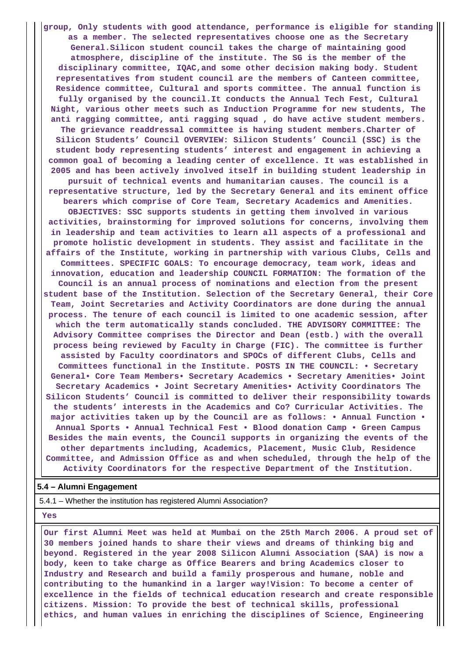**group, Only students with good attendance, performance is eligible for standing as a member. The selected representatives choose one as the Secretary General.Silicon student council takes the charge of maintaining good atmosphere, discipline of the institute. The SG is the member of the disciplinary committee, IQAC,and some other decision making body. Student representatives from student council are the members of Canteen committee, Residence committee, Cultural and sports committee. The annual function is fully organised by the council.It conducts the Annual Tech Fest, Cultural Night, various other meets such as Induction Programme for new students, The anti ragging committee, anti ragging squad , do have active student members. The grievance readdressal committee is having student members.Charter of Silicon Students' Council OVERVIEW: Silicon Students' Council (SSC) is the student body representing students' interest and engagement in achieving a common goal of becoming a leading center of excellence. It was established in 2005 and has been actively involved itself in building student leadership in pursuit of technical events and humanitarian causes. The council is a representative structure, led by the Secretary General and its eminent office bearers which comprise of Core Team, Secretary Academics and Amenities. OBJECTIVES: SSC supports students in getting them involved in various activities, brainstorming for improved solutions for concerns, involving them in leadership and team activities to learn all aspects of a professional and promote holistic development in students. They assist and facilitate in the affairs of the Institute, working in partnership with various Clubs, Cells and Committees. SPECIFIC GOALS: To encourage democracy, team work, ideas and innovation, education and leadership COUNCIL FORMATION: The formation of the Council is an annual process of nominations and election from the present student base of the Institution. Selection of the Secretary General, their Core Team, Joint Secretaries and Activity Coordinators are done during the annual process. The tenure of each council is limited to one academic session, after which the term automatically stands concluded. THE ADVISORY COMMITTEE: The Advisory Committee comprises the Director and Dean (estb.) with the overall process being reviewed by Faculty in Charge (FIC). The committee is further assisted by Faculty coordinators and SPOCs of different Clubs, Cells and Committees functional in the Institute. POSTS IN THE COUNCIL: • Secretary General• Core Team Members• Secretary Academics • Secretary Amenities• Joint Secretary Academics • Joint Secretary Amenities• Activity Coordinators The Silicon Students' Council is committed to deliver their responsibility towards the students' interests in the Academics and Co? Curricular Activities. The major activities taken up by the Council are as follows: • Annual Function • Annual Sports • Annual Technical Fest • Blood donation Camp • Green Campus Besides the main events, the Council supports in organizing the events of the other departments including, Academics, Placement, Music Club, Residence Committee, and Admission Office as and when scheduled, through the help of the Activity Coordinators for the respective Department of the Institution.**

### **5.4 – Alumni Engagement**

5.4.1 – Whether the institution has registered Alumni Association?

 **Yes**

 **Our first Alumni Meet was held at Mumbai on the 25th March 2006. A proud set of 30 members joined hands to share their views and dreams of thinking big and beyond. Registered in the year 2008 Silicon Alumni Association (SAA) is now a body, keen to take charge as Office Bearers and bring Academics closer to Industry and Research and build a family prosperous and humane, noble and contributing to the humankind in a larger way!Vision: To become a center of excellence in the fields of technical education research and create responsible citizens. Mission: To provide the best of technical skills, professional ethics, and human values in enriching the disciplines of Science, Engineering**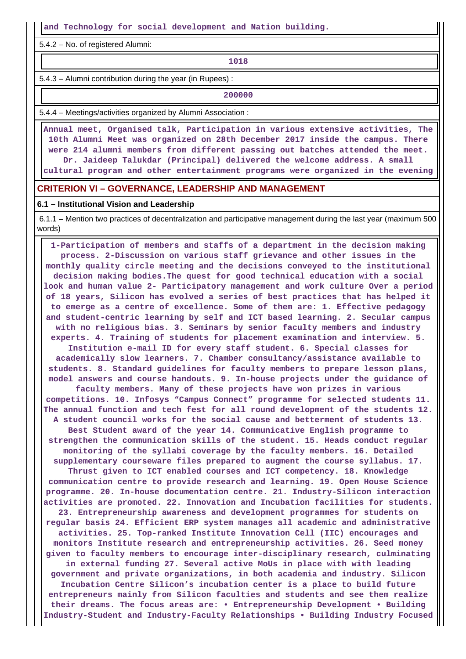**and Technology for social development and Nation building.**

5.4.2 – No. of registered Alumni:

**1018**

5.4.3 – Alumni contribution during the year (in Rupees) :

**200000** 

5.4.4 – Meetings/activities organized by Alumni Association :

 **Annual meet, Organised talk, Participation in various extensive activities, The 10th Alumni Meet was organized on 28th December 2017 inside the campus. There were 214 alumni members from different passing out batches attended the meet. Dr. Jaideep Talukdar (Principal) delivered the welcome address. A small cultural program and other entertainment programs were organized in the evening**

#### **CRITERION VI – GOVERNANCE, LEADERSHIP AND MANAGEMENT**

#### **6.1 – Institutional Vision and Leadership**

 6.1.1 – Mention two practices of decentralization and participative management during the last year (maximum 500 words)

 **1-Participation of members and staffs of a department in the decision making process. 2-Discussion on various staff grievance and other issues in the monthly quality circle meeting and the decisions conveyed to the institutional decision making bodies.The quest for good technical education with a social look and human value 2- Participatory management and work culture Over a period of 18 years, Silicon has evolved a series of best practices that has helped it to emerge as a centre of excellence. Some of them are: 1. Effective pedagogy and student-centric learning by self and ICT based learning. 2. Secular campus with no religious bias. 3. Seminars by senior faculty members and industry experts. 4. Training of students for placement examination and interview. 5. Institution e-mail ID for every staff student. 6. Special classes for academically slow learners. 7. Chamber consultancy/assistance available to students. 8. Standard guidelines for faculty members to prepare lesson plans, model answers and course handouts. 9. In-house projects under the guidance of faculty members. Many of these projects have won prizes in various competitions. 10. Infosys "Campus Connect" programme for selected students 11. The annual function and tech fest for all round development of the students 12. A student council works for the social cause and betterment of students 13. Best Student award of the year 14. Communicative English programme to strengthen the communication skills of the student. 15. Heads conduct regular monitoring of the syllabi coverage by the faculty members. 16. Detailed supplementary courseware files prepared to augment the course syllabus. 17. Thrust given to ICT enabled courses and ICT competency. 18. Knowledge communication centre to provide research and learning. 19. Open House Science programme. 20. In-house documentation centre. 21. Industry-Silicon interaction activities are promoted. 22. Innovation and Incubation facilities for students. 23. Entrepreneurship awareness and development programmes for students on regular basis 24. Efficient ERP system manages all academic and administrative activities. 25. Top-ranked Institute Innovation Cell (IIC) encourages and monitors Institute research and entrepreneurship activities. 26. Seed money given to faculty members to encourage inter-disciplinary research, culminating in external funding 27. Several active MoUs in place with with leading government and private organizations, in both academia and industry. Silicon Incubation Centre Silicon's incubation center is a place to build future entrepreneurs mainly from Silicon faculties and students and see them realize their dreams. The focus areas are: • Entrepreneurship Development • Building Industry-Student and Industry-Faculty Relationships • Building Industry Focused**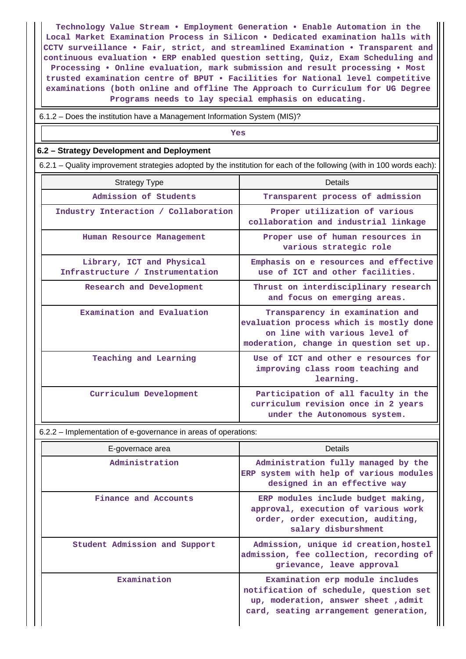**Technology Value Stream • Employment Generation • Enable Automation in the Local Market Examination Process in Silicon • Dedicated examination halls with CCTV surveillance • Fair, strict, and streamlined Examination • Transparent and continuous evaluation • ERP enabled question setting, Quiz, Exam Scheduling and Processing • Online evaluation, mark submission and result processing • Most trusted examination centre of BPUT • Facilities for National level competitive examinations (both online and offline The Approach to Curriculum for UG Degree Programs needs to lay special emphasis on educating.**

6.1.2 – Does the institution have a Management Information System (MIS)?

*Yes* 

### **6.2 – Strategy Development and Deployment**

6.2.1 – Quality improvement strategies adopted by the institution for each of the following (with in 100 words each):

| <b>Strategy Type</b>                                          | Details                                                                                                                                               |
|---------------------------------------------------------------|-------------------------------------------------------------------------------------------------------------------------------------------------------|
| Admission of Students                                         | Transparent process of admission                                                                                                                      |
| Industry Interaction / Collaboration                          | Proper utilization of various<br>collaboration and industrial linkage                                                                                 |
| Human Resource Management                                     | Proper use of human resources in<br>various strategic role                                                                                            |
| Library, ICT and Physical<br>Infrastructure / Instrumentation | Emphasis on e resources and effective<br>use of ICT and other facilities.                                                                             |
| Research and Development                                      | Thrust on interdisciplinary research<br>and focus on emerging areas.                                                                                  |
| Examination and Evaluation                                    | Transparency in examination and<br>evaluation process which is mostly done<br>on line with various level of<br>moderation, change in question set up. |
| Teaching and Learning                                         | Use of ICT and other e resources for<br>improving class room teaching and<br>learning.                                                                |
| Curriculum Development                                        | Participation of all faculty in the<br>curriculum revision once in 2 years<br>under the Autonomous system.                                            |

6.2.2 – Implementation of e-governance in areas of operations:

| E-governace area              | <b>Details</b>                                                                                                                                             |
|-------------------------------|------------------------------------------------------------------------------------------------------------------------------------------------------------|
| Administration                | Administration fully managed by the<br>ERP system with help of various modules<br>designed in an effective way                                             |
| Finance and Accounts          | ERP modules include budget making,<br>approval, execution of various work<br>order, order execution, auditing,<br>salary disburshment                      |
| Student Admission and Support | Admission, unique id creation, hostel<br>admission, fee collection, recording of<br>grievance, leave approval                                              |
| Examination                   | Examination erp module includes<br>notification of schedule, question set<br>up, moderation, answer sheet , admit<br>card, seating arrangement generation, |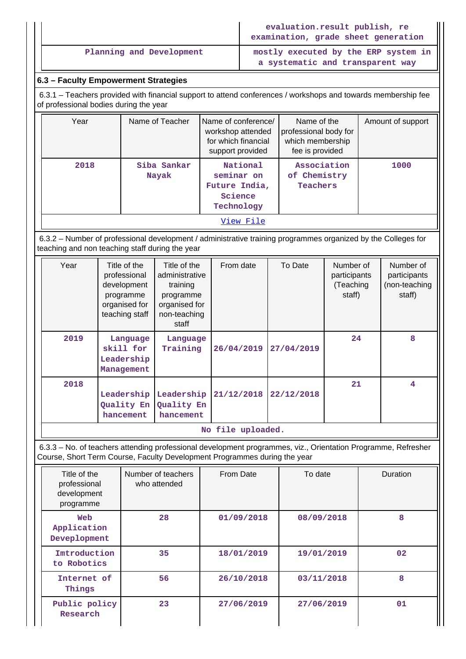|                                                                                                                                                         | evaluation.result publish, re<br>examination, grade sheet generation     |
|---------------------------------------------------------------------------------------------------------------------------------------------------------|--------------------------------------------------------------------------|
| Planning and Development                                                                                                                                | mostly executed by the ERP system in<br>a systematic and transparent way |
| 6.3 – Faculty Empowerment Strategies                                                                                                                    |                                                                          |
| 6.3.1 – Teachers provided with financial support to attend conferences / workshops and towards membership fee<br>of professional bodies during the year |                                                                          |

| Year      | Name of Teacher      | Name of conference/<br>workshop attended<br>for which financial<br>support provided | Name of the<br>professional body for<br>which membership<br>fee is provided | Amount of support |  |  |  |
|-----------|----------------------|-------------------------------------------------------------------------------------|-----------------------------------------------------------------------------|-------------------|--|--|--|
| 2018      | Siba Sankar<br>Nayak | National<br>seminar on<br>Future India,<br>Science<br>Technology                    | Association<br>of Chemistry<br>Teachers                                     | 1000              |  |  |  |
| View File |                      |                                                                                     |                                                                             |                   |  |  |  |

 6.3.2 – Number of professional development / administrative training programmes organized by the Colleges for teaching and non teaching staff during the year

| Year | Title of the<br>professional<br>development<br>programme<br>organised for<br>teaching staff | Title of the<br>administrative<br>training<br>programme<br>organised for<br>non-teaching<br>staff | From date  | To Date    | Number of<br>participants<br>(Teaching<br>staff) | Number of<br>participants<br>(non-teaching<br>staff) |
|------|---------------------------------------------------------------------------------------------|---------------------------------------------------------------------------------------------------|------------|------------|--------------------------------------------------|------------------------------------------------------|
| 2019 | Language<br>skill for<br>Leadership<br>Management                                           | Language<br>Training                                                                              | 26/04/2019 | 27/04/2019 | 24                                               | 8                                                    |
| 2018 | Leadership<br>Quality En<br>hancement                                                       | Leadership<br>Quality En<br>hancement                                                             | 21/12/2018 | 22/12/2018 | 21                                               | 4                                                    |

**No file uploaded.**

 6.3.3 – No. of teachers attending professional development programmes, viz., Orientation Programme, Refresher Course, Short Term Course, Faculty Development Programmes during the year

| Title of the<br>professional<br>development<br>programme | Number of teachers<br>who attended | From Date  | To date    | Duration |
|----------------------------------------------------------|------------------------------------|------------|------------|----------|
| Web<br>Application<br>Deveplopment                       | 28                                 |            | 08/09/2018 | 8        |
| Imtroduction<br>to Robotics                              | 35                                 | 18/01/2019 | 19/01/2019 | 02       |
| Internet of<br>Things                                    | 56                                 | 26/10/2018 | 03/11/2018 | 8        |
| Public policy<br>Research                                | 23                                 | 27/06/2019 | 27/06/2019 | 01       |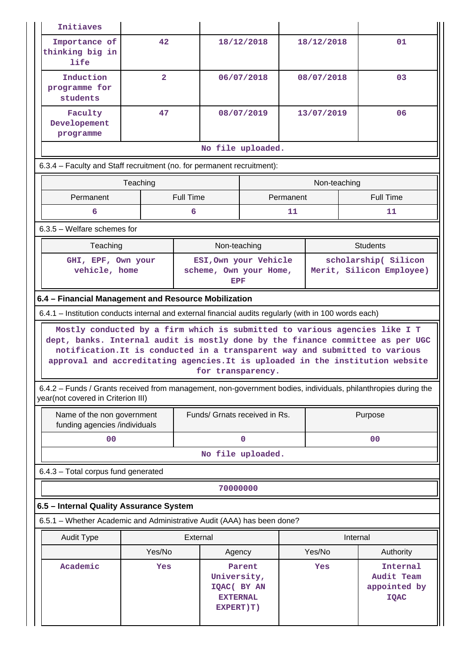| Importance of<br>42<br>18/12/2018<br>18/12/2018<br>01<br>thinking big in<br>life<br>$\overline{2}$<br>Induction<br>06/07/2018<br>08/07/2018<br>03<br>programme for<br>students<br>Faculty<br>47<br>08/07/2019<br>13/07/2019<br>06<br>Developement<br>programme<br>No file uploaded.<br>6.3.4 - Faculty and Staff recruitment (no. for permanent recruitment):<br>Teaching<br>Non-teaching<br><b>Full Time</b><br><b>Full Time</b><br>Permanent<br>Permanent<br>6<br>6<br>11<br>11<br>$6.3.5$ – Welfare schemes for<br>Non-teaching<br><b>Students</b><br>Teaching<br>ESI, Own your Vehicle<br>scholarship( Silicon<br>GHI, EPF, Own your<br>vehicle, home<br>Merit, Silicon Employee)<br>scheme, Own your Home,<br><b>EPF</b><br>6.4 - Financial Management and Resource Mobilization<br>6.4.1 – Institution conducts internal and external financial audits regularly (with in 100 words each)<br>Mostly conducted by a firm which is submitted to various agencies like I T<br>dept, banks. Internal audit is mostly done by the finance committee as per UGC<br>notification. It is conducted in a transparent way and submitted to various<br>approval and accreditating agencies. It is uploaded in the institution website<br>for transparency.<br>6.4.2 – Funds / Grants received from management, non-government bodies, individuals, philanthropies during the<br>year(not covered in Criterion III)<br>Funds/ Grnats received in Rs.<br>Name of the non government<br>Purpose<br>funding agencies /individuals<br>00<br>0<br>00<br>No file uploaded.<br>6.4.3 - Total corpus fund generated<br>70000000<br>6.5 - Internal Quality Assurance System<br>6.5.1 - Whether Academic and Administrative Audit (AAA) has been done?<br>External<br><b>Audit Type</b><br>Internal<br>Yes/No<br>Yes/No<br>Authority<br>Agency<br>Academic<br>Internal<br>Yes<br>Parent<br>Yes<br>Audit Team<br>University,<br>appointed by<br>IQAC( BY AN<br><b>EXTERNAL</b><br><b>IQAC</b><br>EXPERT)T) | Initiaves |  |  |  |  |  |  |  |  |
|-------------------------------------------------------------------------------------------------------------------------------------------------------------------------------------------------------------------------------------------------------------------------------------------------------------------------------------------------------------------------------------------------------------------------------------------------------------------------------------------------------------------------------------------------------------------------------------------------------------------------------------------------------------------------------------------------------------------------------------------------------------------------------------------------------------------------------------------------------------------------------------------------------------------------------------------------------------------------------------------------------------------------------------------------------------------------------------------------------------------------------------------------------------------------------------------------------------------------------------------------------------------------------------------------------------------------------------------------------------------------------------------------------------------------------------------------------------------------------------------------------------------------------------------------------------------------------------------------------------------------------------------------------------------------------------------------------------------------------------------------------------------------------------------------------------------------------------------------------------------------------------------------------------------------------------------------------------------------------------------|-----------|--|--|--|--|--|--|--|--|
|                                                                                                                                                                                                                                                                                                                                                                                                                                                                                                                                                                                                                                                                                                                                                                                                                                                                                                                                                                                                                                                                                                                                                                                                                                                                                                                                                                                                                                                                                                                                                                                                                                                                                                                                                                                                                                                                                                                                                                                           |           |  |  |  |  |  |  |  |  |
|                                                                                                                                                                                                                                                                                                                                                                                                                                                                                                                                                                                                                                                                                                                                                                                                                                                                                                                                                                                                                                                                                                                                                                                                                                                                                                                                                                                                                                                                                                                                                                                                                                                                                                                                                                                                                                                                                                                                                                                           |           |  |  |  |  |  |  |  |  |
|                                                                                                                                                                                                                                                                                                                                                                                                                                                                                                                                                                                                                                                                                                                                                                                                                                                                                                                                                                                                                                                                                                                                                                                                                                                                                                                                                                                                                                                                                                                                                                                                                                                                                                                                                                                                                                                                                                                                                                                           |           |  |  |  |  |  |  |  |  |
|                                                                                                                                                                                                                                                                                                                                                                                                                                                                                                                                                                                                                                                                                                                                                                                                                                                                                                                                                                                                                                                                                                                                                                                                                                                                                                                                                                                                                                                                                                                                                                                                                                                                                                                                                                                                                                                                                                                                                                                           |           |  |  |  |  |  |  |  |  |
|                                                                                                                                                                                                                                                                                                                                                                                                                                                                                                                                                                                                                                                                                                                                                                                                                                                                                                                                                                                                                                                                                                                                                                                                                                                                                                                                                                                                                                                                                                                                                                                                                                                                                                                                                                                                                                                                                                                                                                                           |           |  |  |  |  |  |  |  |  |
|                                                                                                                                                                                                                                                                                                                                                                                                                                                                                                                                                                                                                                                                                                                                                                                                                                                                                                                                                                                                                                                                                                                                                                                                                                                                                                                                                                                                                                                                                                                                                                                                                                                                                                                                                                                                                                                                                                                                                                                           |           |  |  |  |  |  |  |  |  |
|                                                                                                                                                                                                                                                                                                                                                                                                                                                                                                                                                                                                                                                                                                                                                                                                                                                                                                                                                                                                                                                                                                                                                                                                                                                                                                                                                                                                                                                                                                                                                                                                                                                                                                                                                                                                                                                                                                                                                                                           |           |  |  |  |  |  |  |  |  |
|                                                                                                                                                                                                                                                                                                                                                                                                                                                                                                                                                                                                                                                                                                                                                                                                                                                                                                                                                                                                                                                                                                                                                                                                                                                                                                                                                                                                                                                                                                                                                                                                                                                                                                                                                                                                                                                                                                                                                                                           |           |  |  |  |  |  |  |  |  |
|                                                                                                                                                                                                                                                                                                                                                                                                                                                                                                                                                                                                                                                                                                                                                                                                                                                                                                                                                                                                                                                                                                                                                                                                                                                                                                                                                                                                                                                                                                                                                                                                                                                                                                                                                                                                                                                                                                                                                                                           |           |  |  |  |  |  |  |  |  |
|                                                                                                                                                                                                                                                                                                                                                                                                                                                                                                                                                                                                                                                                                                                                                                                                                                                                                                                                                                                                                                                                                                                                                                                                                                                                                                                                                                                                                                                                                                                                                                                                                                                                                                                                                                                                                                                                                                                                                                                           |           |  |  |  |  |  |  |  |  |
|                                                                                                                                                                                                                                                                                                                                                                                                                                                                                                                                                                                                                                                                                                                                                                                                                                                                                                                                                                                                                                                                                                                                                                                                                                                                                                                                                                                                                                                                                                                                                                                                                                                                                                                                                                                                                                                                                                                                                                                           |           |  |  |  |  |  |  |  |  |
|                                                                                                                                                                                                                                                                                                                                                                                                                                                                                                                                                                                                                                                                                                                                                                                                                                                                                                                                                                                                                                                                                                                                                                                                                                                                                                                                                                                                                                                                                                                                                                                                                                                                                                                                                                                                                                                                                                                                                                                           |           |  |  |  |  |  |  |  |  |
|                                                                                                                                                                                                                                                                                                                                                                                                                                                                                                                                                                                                                                                                                                                                                                                                                                                                                                                                                                                                                                                                                                                                                                                                                                                                                                                                                                                                                                                                                                                                                                                                                                                                                                                                                                                                                                                                                                                                                                                           |           |  |  |  |  |  |  |  |  |
|                                                                                                                                                                                                                                                                                                                                                                                                                                                                                                                                                                                                                                                                                                                                                                                                                                                                                                                                                                                                                                                                                                                                                                                                                                                                                                                                                                                                                                                                                                                                                                                                                                                                                                                                                                                                                                                                                                                                                                                           |           |  |  |  |  |  |  |  |  |
|                                                                                                                                                                                                                                                                                                                                                                                                                                                                                                                                                                                                                                                                                                                                                                                                                                                                                                                                                                                                                                                                                                                                                                                                                                                                                                                                                                                                                                                                                                                                                                                                                                                                                                                                                                                                                                                                                                                                                                                           |           |  |  |  |  |  |  |  |  |
|                                                                                                                                                                                                                                                                                                                                                                                                                                                                                                                                                                                                                                                                                                                                                                                                                                                                                                                                                                                                                                                                                                                                                                                                                                                                                                                                                                                                                                                                                                                                                                                                                                                                                                                                                                                                                                                                                                                                                                                           |           |  |  |  |  |  |  |  |  |
|                                                                                                                                                                                                                                                                                                                                                                                                                                                                                                                                                                                                                                                                                                                                                                                                                                                                                                                                                                                                                                                                                                                                                                                                                                                                                                                                                                                                                                                                                                                                                                                                                                                                                                                                                                                                                                                                                                                                                                                           |           |  |  |  |  |  |  |  |  |
|                                                                                                                                                                                                                                                                                                                                                                                                                                                                                                                                                                                                                                                                                                                                                                                                                                                                                                                                                                                                                                                                                                                                                                                                                                                                                                                                                                                                                                                                                                                                                                                                                                                                                                                                                                                                                                                                                                                                                                                           |           |  |  |  |  |  |  |  |  |
|                                                                                                                                                                                                                                                                                                                                                                                                                                                                                                                                                                                                                                                                                                                                                                                                                                                                                                                                                                                                                                                                                                                                                                                                                                                                                                                                                                                                                                                                                                                                                                                                                                                                                                                                                                                                                                                                                                                                                                                           |           |  |  |  |  |  |  |  |  |
|                                                                                                                                                                                                                                                                                                                                                                                                                                                                                                                                                                                                                                                                                                                                                                                                                                                                                                                                                                                                                                                                                                                                                                                                                                                                                                                                                                                                                                                                                                                                                                                                                                                                                                                                                                                                                                                                                                                                                                                           |           |  |  |  |  |  |  |  |  |
|                                                                                                                                                                                                                                                                                                                                                                                                                                                                                                                                                                                                                                                                                                                                                                                                                                                                                                                                                                                                                                                                                                                                                                                                                                                                                                                                                                                                                                                                                                                                                                                                                                                                                                                                                                                                                                                                                                                                                                                           |           |  |  |  |  |  |  |  |  |
|                                                                                                                                                                                                                                                                                                                                                                                                                                                                                                                                                                                                                                                                                                                                                                                                                                                                                                                                                                                                                                                                                                                                                                                                                                                                                                                                                                                                                                                                                                                                                                                                                                                                                                                                                                                                                                                                                                                                                                                           |           |  |  |  |  |  |  |  |  |
|                                                                                                                                                                                                                                                                                                                                                                                                                                                                                                                                                                                                                                                                                                                                                                                                                                                                                                                                                                                                                                                                                                                                                                                                                                                                                                                                                                                                                                                                                                                                                                                                                                                                                                                                                                                                                                                                                                                                                                                           |           |  |  |  |  |  |  |  |  |
|                                                                                                                                                                                                                                                                                                                                                                                                                                                                                                                                                                                                                                                                                                                                                                                                                                                                                                                                                                                                                                                                                                                                                                                                                                                                                                                                                                                                                                                                                                                                                                                                                                                                                                                                                                                                                                                                                                                                                                                           |           |  |  |  |  |  |  |  |  |
|                                                                                                                                                                                                                                                                                                                                                                                                                                                                                                                                                                                                                                                                                                                                                                                                                                                                                                                                                                                                                                                                                                                                                                                                                                                                                                                                                                                                                                                                                                                                                                                                                                                                                                                                                                                                                                                                                                                                                                                           |           |  |  |  |  |  |  |  |  |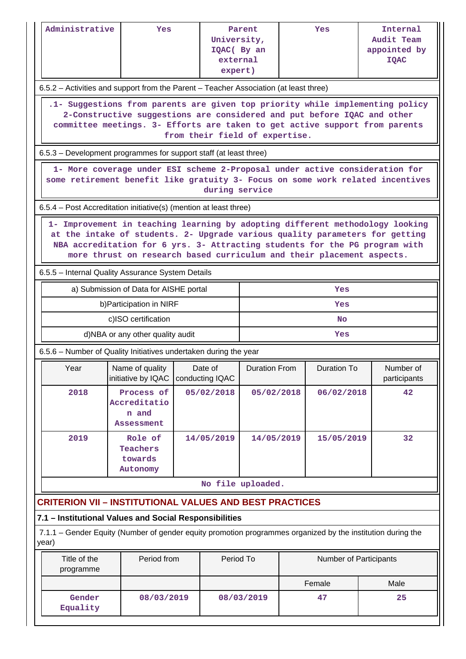| Administrative                                                                                                                                                                                                                                                                                                        | Yes                                                                                                         |  | University,<br>IQAC( By an<br>external<br>expert) | Parent               |  | Yes                    | Internal<br>Audit Team<br>appointed by<br><b>IQAC</b> |  |  |
|-----------------------------------------------------------------------------------------------------------------------------------------------------------------------------------------------------------------------------------------------------------------------------------------------------------------------|-------------------------------------------------------------------------------------------------------------|--|---------------------------------------------------|----------------------|--|------------------------|-------------------------------------------------------|--|--|
|                                                                                                                                                                                                                                                                                                                       | 6.5.2 – Activities and support from the Parent – Teacher Association (at least three)                       |  |                                                   |                      |  |                        |                                                       |  |  |
| .1- Suggestions from parents are given top priority while implementing policy<br>2-Constructive suggestions are considered and put before IQAC and other<br>committee meetings. 3- Efforts are taken to get active support from parents<br>from their field of expertise.                                             |                                                                                                             |  |                                                   |                      |  |                        |                                                       |  |  |
|                                                                                                                                                                                                                                                                                                                       | 6.5.3 – Development programmes for support staff (at least three)                                           |  |                                                   |                      |  |                        |                                                       |  |  |
| 1- More coverage under ESI scheme 2-Proposal under active consideration for<br>some retirement benefit like gratuity 3- Focus on some work related incentives<br>during service                                                                                                                                       |                                                                                                             |  |                                                   |                      |  |                        |                                                       |  |  |
|                                                                                                                                                                                                                                                                                                                       | 6.5.4 – Post Accreditation initiative(s) (mention at least three)                                           |  |                                                   |                      |  |                        |                                                       |  |  |
| 1- Improvement in teaching learning by adopting different methodology looking<br>at the intake of students. 2- Upgrade various quality parameters for getting<br>NBA accreditation for 6 yrs. 3- Attracting students for the PG program with<br>more thrust on research based curriculum and their placement aspects. |                                                                                                             |  |                                                   |                      |  |                        |                                                       |  |  |
|                                                                                                                                                                                                                                                                                                                       | 6.5.5 - Internal Quality Assurance System Details                                                           |  |                                                   |                      |  |                        |                                                       |  |  |
|                                                                                                                                                                                                                                                                                                                       | a) Submission of Data for AISHE portal                                                                      |  |                                                   | Yes                  |  |                        |                                                       |  |  |
|                                                                                                                                                                                                                                                                                                                       | b) Participation in NIRF                                                                                    |  |                                                   | Yes                  |  |                        |                                                       |  |  |
|                                                                                                                                                                                                                                                                                                                       | c)ISO certification                                                                                         |  |                                                   | <b>No</b>            |  |                        |                                                       |  |  |
|                                                                                                                                                                                                                                                                                                                       | d)NBA or any other quality audit                                                                            |  |                                                   | Yes                  |  |                        |                                                       |  |  |
|                                                                                                                                                                                                                                                                                                                       | 6.5.6 – Number of Quality Initiatives undertaken during the year                                            |  |                                                   |                      |  |                        |                                                       |  |  |
| Year                                                                                                                                                                                                                                                                                                                  | Name of quality<br>initiative by IQAC                                                                       |  | Date of<br>conducting IQAC                        | <b>Duration From</b> |  | Duration To            | Number of<br>participants                             |  |  |
| 2018                                                                                                                                                                                                                                                                                                                  | Process of<br>Accreditatio<br>n and<br><b>Assessment</b>                                                    |  | 05/02/2018                                        | 05/02/2018           |  | 06/02/2018             | 42                                                    |  |  |
| 2019                                                                                                                                                                                                                                                                                                                  | Role of<br>Teachers<br>towards<br>Autonomy                                                                  |  | 14/05/2019                                        | 14/05/2019           |  | 15/05/2019             | 32                                                    |  |  |
|                                                                                                                                                                                                                                                                                                                       |                                                                                                             |  |                                                   | No file uploaded.    |  |                        |                                                       |  |  |
|                                                                                                                                                                                                                                                                                                                       | <b>CRITERION VII - INSTITUTIONAL VALUES AND BEST PRACTICES</b>                                              |  |                                                   |                      |  |                        |                                                       |  |  |
|                                                                                                                                                                                                                                                                                                                       | 7.1 - Institutional Values and Social Responsibilities                                                      |  |                                                   |                      |  |                        |                                                       |  |  |
| year)                                                                                                                                                                                                                                                                                                                 | 7.1.1 – Gender Equity (Number of gender equity promotion programmes organized by the institution during the |  |                                                   |                      |  |                        |                                                       |  |  |
| Title of the<br>programme                                                                                                                                                                                                                                                                                             | Period from                                                                                                 |  | Period To                                         |                      |  | Number of Participants |                                                       |  |  |
|                                                                                                                                                                                                                                                                                                                       |                                                                                                             |  |                                                   |                      |  | Female                 | Male                                                  |  |  |
| Gender<br>Equality                                                                                                                                                                                                                                                                                                    | 08/03/2019                                                                                                  |  |                                                   | 08/03/2019           |  | 47                     | 25                                                    |  |  |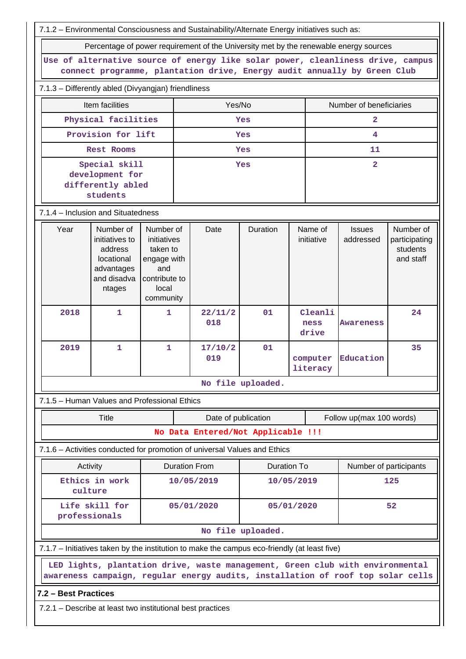| 7.1.2 - Environmental Consciousness and Sustainability/Alternate Energy initiatives such as:                                                                |                                                                                             |                                                                                                   |                |                                                                                                                                                                  |                    |                          |                       |                            |                                                     |
|-------------------------------------------------------------------------------------------------------------------------------------------------------------|---------------------------------------------------------------------------------------------|---------------------------------------------------------------------------------------------------|----------------|------------------------------------------------------------------------------------------------------------------------------------------------------------------|--------------------|--------------------------|-----------------------|----------------------------|-----------------------------------------------------|
|                                                                                                                                                             | Percentage of power requirement of the University met by the renewable energy sources       |                                                                                                   |                |                                                                                                                                                                  |                    |                          |                       |                            |                                                     |
| Use of alternative source of energy like solar power, cleanliness drive, campus<br>connect programme, plantation drive, Energy audit annually by Green Club |                                                                                             |                                                                                                   |                |                                                                                                                                                                  |                    |                          |                       |                            |                                                     |
| 7.1.3 - Differently abled (Divyangjan) friendliness                                                                                                         |                                                                                             |                                                                                                   |                |                                                                                                                                                                  |                    |                          |                       |                            |                                                     |
|                                                                                                                                                             | Item facilities                                                                             |                                                                                                   |                | Yes/No                                                                                                                                                           |                    |                          |                       | Number of beneficiaries    |                                                     |
|                                                                                                                                                             | Physical facilities                                                                         |                                                                                                   |                |                                                                                                                                                                  | Yes                |                          |                       | $\overline{2}$             |                                                     |
|                                                                                                                                                             | Provision for lift                                                                          |                                                                                                   |                |                                                                                                                                                                  | Yes                |                          |                       | 4                          |                                                     |
|                                                                                                                                                             | <b>Rest Rooms</b>                                                                           |                                                                                                   |                |                                                                                                                                                                  | Yes                |                          |                       | 11                         |                                                     |
|                                                                                                                                                             | Special skill<br>development for<br>differently abled<br>students                           |                                                                                                   |                |                                                                                                                                                                  | Yes                |                          |                       | $\overline{2}$             |                                                     |
| 7.1.4 - Inclusion and Situatedness                                                                                                                          |                                                                                             |                                                                                                   |                |                                                                                                                                                                  |                    |                          |                       |                            |                                                     |
| Year                                                                                                                                                        | Number of<br>initiatives to<br>address<br>locational<br>advantages<br>and disadva<br>ntages | Number of<br>initiatives<br>taken to<br>engage with<br>and<br>contribute to<br>local<br>community |                | Date                                                                                                                                                             | Duration           |                          | Name of<br>initiative | <b>Issues</b><br>addressed | Number of<br>participating<br>students<br>and staff |
| 2018                                                                                                                                                        | $\mathbf{1}$                                                                                | 1                                                                                                 |                | 22/11/2<br>018                                                                                                                                                   | 01                 | Cleanli<br>ness<br>drive |                       | <b>Awareness</b>           | 24                                                  |
| 2019                                                                                                                                                        | 1                                                                                           | 1                                                                                                 | 17/10/2<br>019 |                                                                                                                                                                  | 01                 | computer<br>literacy     |                       | Education                  | 35                                                  |
|                                                                                                                                                             |                                                                                             |                                                                                                   |                |                                                                                                                                                                  | No file uploaded.  |                          |                       |                            |                                                     |
| 7.1.5 - Human Values and Professional Ethics                                                                                                                |                                                                                             |                                                                                                   |                |                                                                                                                                                                  |                    |                          |                       |                            |                                                     |
|                                                                                                                                                             | Title                                                                                       |                                                                                                   |                | Date of publication                                                                                                                                              |                    |                          |                       | Follow up(max 100 words)   |                                                     |
|                                                                                                                                                             |                                                                                             |                                                                                                   |                | No Data Entered/Not Applicable !!!                                                                                                                               |                    |                          |                       |                            |                                                     |
| 7.1.6 - Activities conducted for promotion of universal Values and Ethics                                                                                   |                                                                                             |                                                                                                   |                |                                                                                                                                                                  |                    |                          |                       |                            |                                                     |
| Activity                                                                                                                                                    |                                                                                             |                                                                                                   |                | <b>Duration From</b>                                                                                                                                             | <b>Duration To</b> |                          |                       | Number of participants     |                                                     |
| culture                                                                                                                                                     | Ethics in work                                                                              |                                                                                                   |                | 10/05/2019                                                                                                                                                       | 10/05/2019         |                          |                       |                            | 125                                                 |
| professionals                                                                                                                                               | Life skill for                                                                              |                                                                                                   |                | 05/01/2020                                                                                                                                                       | 05/01/2020         |                          |                       |                            | 52                                                  |
|                                                                                                                                                             |                                                                                             |                                                                                                   |                |                                                                                                                                                                  | No file uploaded.  |                          |                       |                            |                                                     |
| 7.1.7 - Initiatives taken by the institution to make the campus eco-friendly (at least five)                                                                |                                                                                             |                                                                                                   |                |                                                                                                                                                                  |                    |                          |                       |                            |                                                     |
|                                                                                                                                                             |                                                                                             |                                                                                                   |                | LED lights, plantation drive, waste management, Green club with environmental<br>awareness campaign, regular energy audits, installation of roof top solar cells |                    |                          |                       |                            |                                                     |
| 7.2 - Best Practices                                                                                                                                        |                                                                                             |                                                                                                   |                |                                                                                                                                                                  |                    |                          |                       |                            |                                                     |
| 7.2.1 – Describe at least two institutional best practices                                                                                                  |                                                                                             |                                                                                                   |                |                                                                                                                                                                  |                    |                          |                       |                            |                                                     |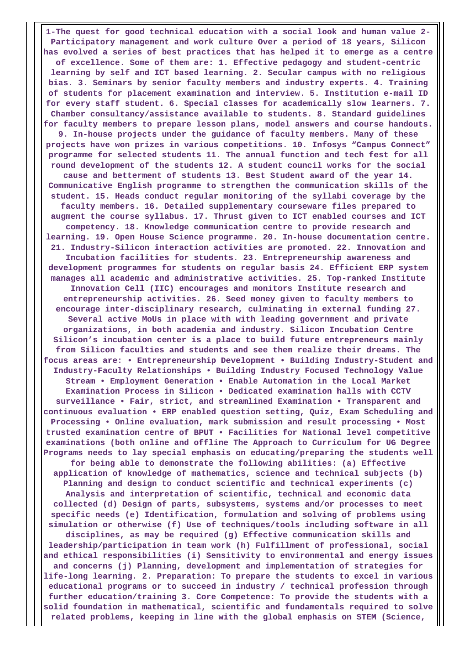**1-The quest for good technical education with a social look and human value 2- Participatory management and work culture Over a period of 18 years, Silicon has evolved a series of best practices that has helped it to emerge as a centre of excellence. Some of them are: 1. Effective pedagogy and student-centric learning by self and ICT based learning. 2. Secular campus with no religious bias. 3. Seminars by senior faculty members and industry experts. 4. Training of students for placement examination and interview. 5. Institution e-mail ID for every staff student. 6. Special classes for academically slow learners. 7. Chamber consultancy/assistance available to students. 8. Standard guidelines for faculty members to prepare lesson plans, model answers and course handouts. 9. In-house projects under the guidance of faculty members. Many of these projects have won prizes in various competitions. 10. Infosys "Campus Connect" programme for selected students 11. The annual function and tech fest for all round development of the students 12. A student council works for the social cause and betterment of students 13. Best Student award of the year 14. Communicative English programme to strengthen the communication skills of the student. 15. Heads conduct regular monitoring of the syllabi coverage by the faculty members. 16. Detailed supplementary courseware files prepared to augment the course syllabus. 17. Thrust given to ICT enabled courses and ICT competency. 18. Knowledge communication centre to provide research and learning. 19. Open House Science programme. 20. In-house documentation centre. 21. Industry-Silicon interaction activities are promoted. 22. Innovation and Incubation facilities for students. 23. Entrepreneurship awareness and development programmes for students on regular basis 24. Efficient ERP system manages all academic and administrative activities. 25. Top-ranked Institute Innovation Cell (IIC) encourages and monitors Institute research and entrepreneurship activities. 26. Seed money given to faculty members to encourage inter-disciplinary research, culminating in external funding 27. Several active MoUs in place with with leading government and private organizations, in both academia and industry. Silicon Incubation Centre Silicon's incubation center is a place to build future entrepreneurs mainly from Silicon faculties and students and see them realize their dreams. The focus areas are: • Entrepreneurship Development • Building Industry-Student and Industry-Faculty Relationships • Building Industry Focused Technology Value Stream • Employment Generation • Enable Automation in the Local Market Examination Process in Silicon • Dedicated examination halls with CCTV surveillance • Fair, strict, and streamlined Examination • Transparent and continuous evaluation • ERP enabled question setting, Quiz, Exam Scheduling and Processing • Online evaluation, mark submission and result processing • Most trusted examination centre of BPUT • Facilities for National level competitive examinations (both online and offline The Approach to Curriculum for UG Degree Programs needs to lay special emphasis on educating/preparing the students well for being able to demonstrate the following abilities: (a) Effective application of knowledge of mathematics, science and technical subjects (b) Planning and design to conduct scientific and technical experiments (c) Analysis and interpretation of scientific, technical and economic data collected (d) Design of parts, subsystems, systems and/or processes to meet specific needs (e) Identification, formulation and solving of problems using simulation or otherwise (f) Use of techniques/tools including software in all disciplines, as may be required (g) Effective communication skills and leadership/participation in team work (h) Fulfillment of professional, social and ethical responsibilities (i) Sensitivity to environmental and energy issues and concerns (j) Planning, development and implementation of strategies for life-long learning. 2. Preparation: To prepare the students to excel in various educational programs or to succeed in industry / technical profession through further education/training 3. Core Competence: To provide the students with a solid foundation in mathematical, scientific and fundamentals required to solve related problems, keeping in line with the global emphasis on STEM (Science,**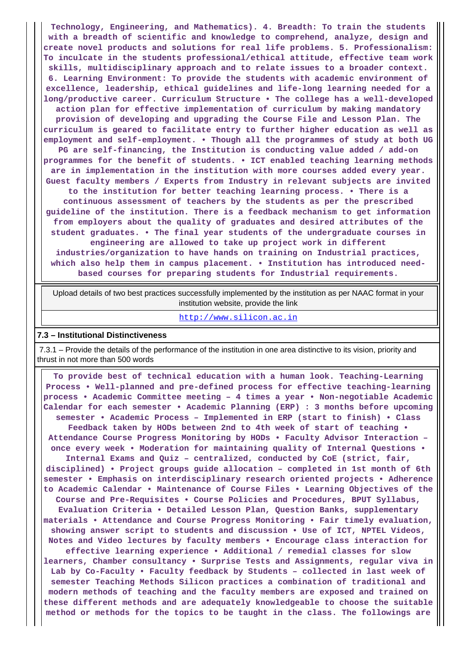**Technology, Engineering, and Mathematics). 4. Breadth: To train the students with a breadth of scientific and knowledge to comprehend, analyze, design and create novel products and solutions for real life problems. 5. Professionalism: To inculcate in the students professional/ethical attitude, effective team work skills, multidisciplinary approach and to relate issues to a broader context. 6. Learning Environment: To provide the students with academic environment of excellence, leadership, ethical guidelines and life-long learning needed for a long/productive career. Curriculum Structure • The college has a well-developed action plan for effective implementation of curriculum by making mandatory provision of developing and upgrading the Course File and Lesson Plan. The curriculum is geared to facilitate entry to further higher education as well as employment and self-employment. • Though all the programmes of study at both UG PG are self-financing, the Institution is conducting value added / add-on programmes for the benefit of students. • ICT enabled teaching learning methods are in implementation in the institution with more courses added every year. Guest faculty members / Experts from Industry in relevant subjects are invited to the institution for better teaching learning process. • There is a continuous assessment of teachers by the students as per the prescribed guideline of the institution. There is a feedback mechanism to get information from employers about the quality of graduates and desired attributes of the student graduates. • The final year students of the undergraduate courses in engineering are allowed to take up project work in different industries/organization to have hands on training on Industrial practices, which also help them in campus placement. • Institution has introduced needbased courses for preparing students for Industrial requirements.**

 Upload details of two best practices successfully implemented by the institution as per NAAC format in your institution website, provide the link

#### <http://www.silicon.ac.in>

#### **7.3 – Institutional Distinctiveness**

 7.3.1 – Provide the details of the performance of the institution in one area distinctive to its vision, priority and thrust in not more than 500 words

 **To provide best of technical education with a human look. Teaching-Learning Process • Well-planned and pre-defined process for effective teaching-learning process • Academic Committee meeting – 4 times a year • Non-negotiable Academic Calendar for each semester • Academic Planning (ERP) : 3 months before upcoming semester • Academic Process – Implemented in ERP (start to finish) • Class Feedback taken by HODs between 2nd to 4th week of start of teaching • Attendance Course Progress Monitoring by HODs • Faculty Advisor Interaction – once every week • Moderation for maintaining quality of Internal Questions • Internal Exams and Quiz – centralized, conducted by CoE (strict, fair, disciplined) • Project groups guide allocation – completed in 1st month of 6th semester • Emphasis on interdisciplinary research oriented projects • Adherence to Academic Calendar • Maintenance of Course Files • Learning Objectives of the Course and Pre-Requisites • Course Policies and Procedures, BPUT Syllabus, Evaluation Criteria • Detailed Lesson Plan, Question Banks, supplementary materials • Attendance and Course Progress Monitoring • Fair timely evaluation, showing answer script to students and discussion • Use of ICT, NPTEL Videos, Notes and Video lectures by faculty members • Encourage class interaction for effective learning experience • Additional / remedial classes for slow learners, Chamber consultancy • Surprise Tests and Assignments, regular viva in Lab by Co-Faculty • Faculty feedback by Students – collected in last week of semester Teaching Methods Silicon practices a combination of traditional and modern methods of teaching and the faculty members are exposed and trained on these different methods and are adequately knowledgeable to choose the suitable method or methods for the topics to be taught in the class. The followings are**